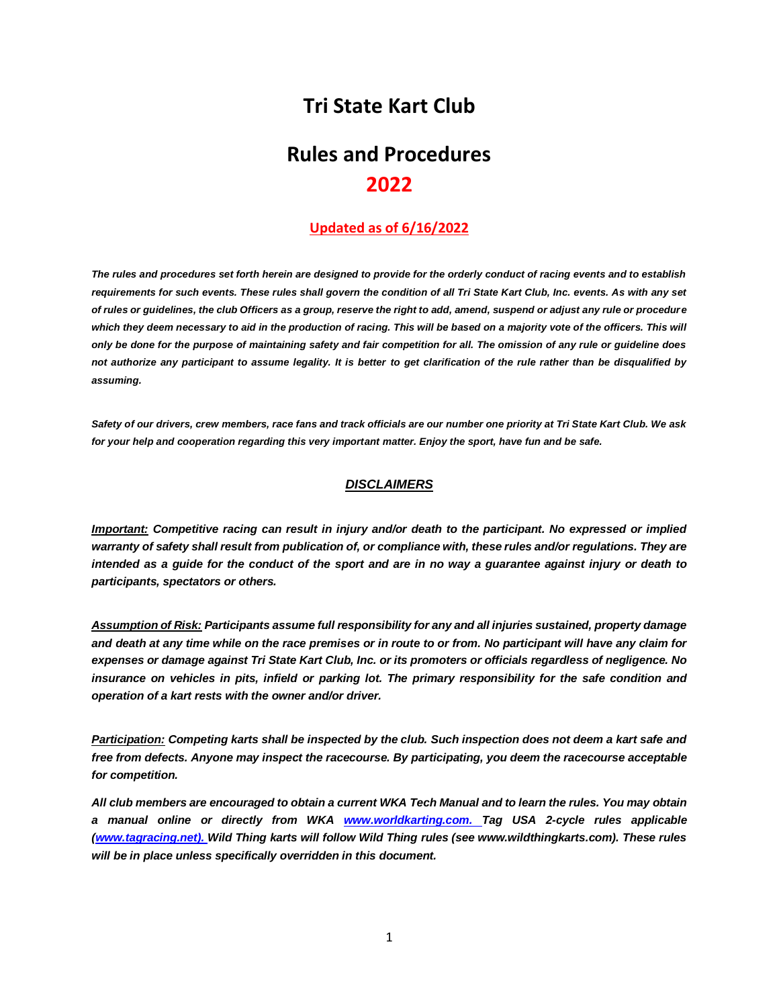# **Tri State Kart Club**

# **Rules and Procedures 2022**

#### **Updated as of 6/16/2022**

*The rules and procedures set forth herein are designed to provide for the orderly conduct of racing events and to establish requirements for such events. These rules shall govern the condition of all Tri State Kart Club, Inc. events. As with any set of rules or guidelines, the club Officers as a group, reserve the right to add, amend, suspend or adjust any rule or procedure*  which they deem necessary to aid in the production of racing. This will be based on a majority vote of the officers. This will *only be done for the purpose of maintaining safety and fair competition for all. The omission of any rule or guideline does not authorize any participant to assume legality. It is better to get clarification of the rule rather than be disqualified by assuming.*

*Safety of our drivers, crew members, race fans and track officials are our number one priority at Tri State Kart Club. We ask for your help and cooperation regarding this very important matter. Enjoy the sport, have fun and be safe.*

#### *DISCLAIMERS*

*Important: Competitive racing can result in injury and/or death to the participant. No expressed or implied warranty of safety shall result from publication of, or compliance with, these rules and/or regulations. They are intended as a guide for the conduct of the sport and are in no way a guarantee against injury or death to participants, spectators or others.*

*Assumption of Risk: Participants assume full responsibility for any and all injuries sustained, property damage and death at any time while on the race premises or in route to or from. No participant will have any claim for expenses or damage against Tri State Kart Club, Inc. or its promoters or officials regardless of negligence. No insurance on vehicles in pits, infield or parking lot. The primary responsibility for the safe condition and operation of a kart rests with the owner and/or driver.*

*Participation: Competing karts shall be inspected by the club. Such inspection does not deem a kart safe and free from defects. Anyone may inspect the racecourse. By participating, you deem the racecourse acceptable for competition.*

*All club members are encouraged to obtain a current WKA Tech Manual and to learn the rules. You may obtain a manual online or directly from WKA [www.worldkarting.com.](http://www.worldkarting.com/) Tag USA 2-cycle rules applicable [\(www.tagracing.net\)](http://www.tagracing.net/). Wild Thing karts will follow Wild Thing rules (see www.wildthingkarts.com). These rules will be in place unless specifically overridden in this document.*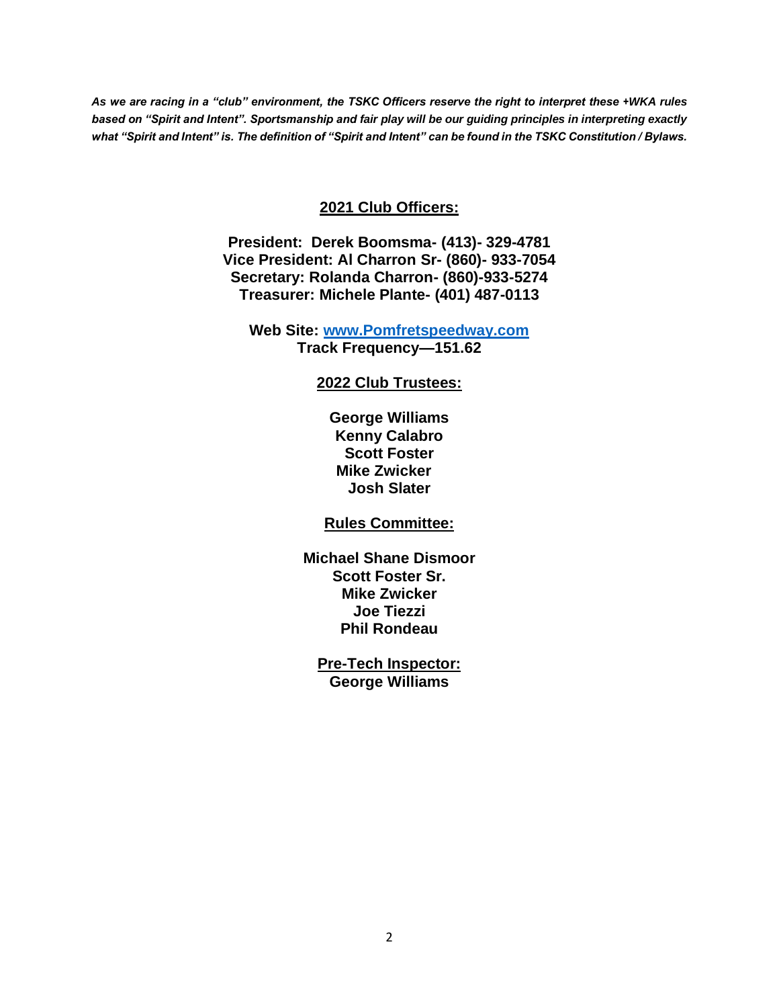As we are racing in a "club" environment, the TSKC Officers reserve the right to interpret these +*WKA rules based on "Spirit and Intent". Sportsmanship and fair play will be our guiding principles in interpreting exactly what "Spirit and Intent" is. The definition of "Spirit and Intent" can be found in the TSKC Constitution / Bylaws.*

#### **2021 Club Officers:**

**President: Derek Boomsma- (413)- 329-4781 Vice President: Al Charron Sr- (860)- 933-7054 Secretary: Rolanda Charron- (860)-933-5274 Treasurer: Michele Plante- (401) 487-0113**

**Web Site: [www.Pomfretspeedway.com](http://www.pomfretspeedway.com/) Track Frequency—151.62**

#### **2022 Club Trustees:**

**George Williams Kenny Calabro Scott Foster Mike Zwicker Josh Slater**

**Rules Committee:**

**Michael Shane Dismoor Scott Foster Sr. Mike Zwicker Joe Tiezzi Phil Rondeau**

**Pre-Tech Inspector: George Williams**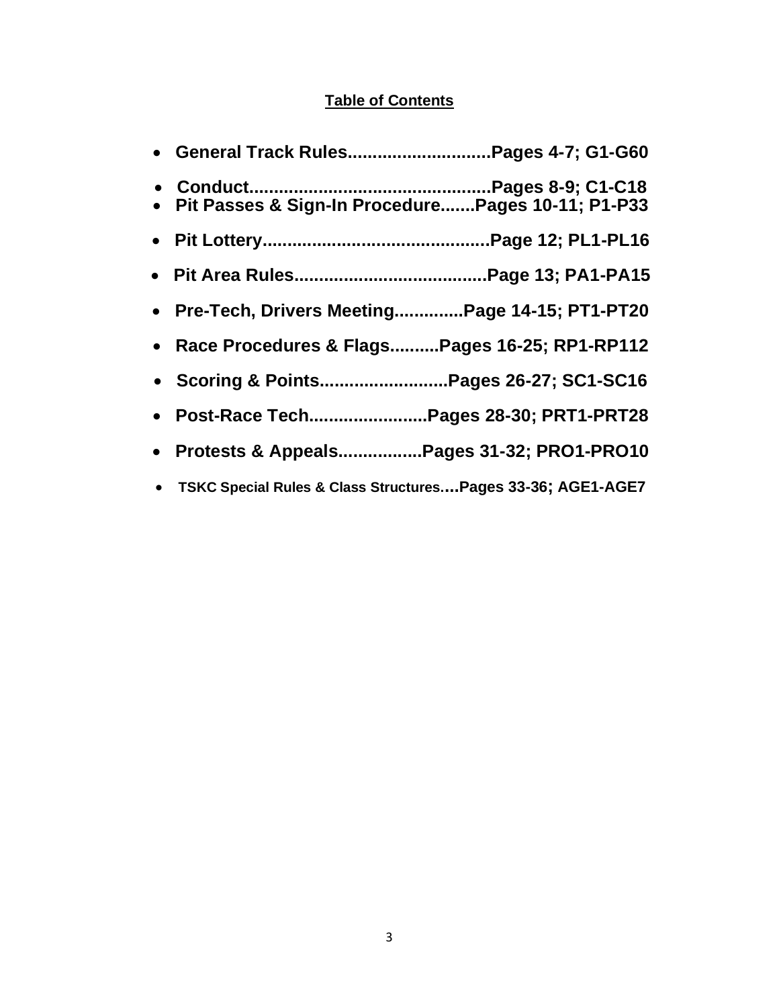# **Table of Contents**

| • General Track RulesPages 4-7; G1-G60                         |
|----------------------------------------------------------------|
| • Pit Passes & Sign-In ProcedurePages 10-11; P1-P33            |
|                                                                |
|                                                                |
| • Pre-Tech, Drivers MeetingPage 14-15; PT1-PT20                |
| • Race Procedures & FlagsPages 16-25; RP1-RP112                |
| • Scoring & PointsPages 26-27; SC1-SC16                        |
| • Post-Race TechPages 28-30; PRT1-PRT28                        |
| • Protests & AppealsPages 31-32; PRO1-PRO10                    |
| • TSKC Special Rules & Class Structures Pages 33-36; AGE1-AGE7 |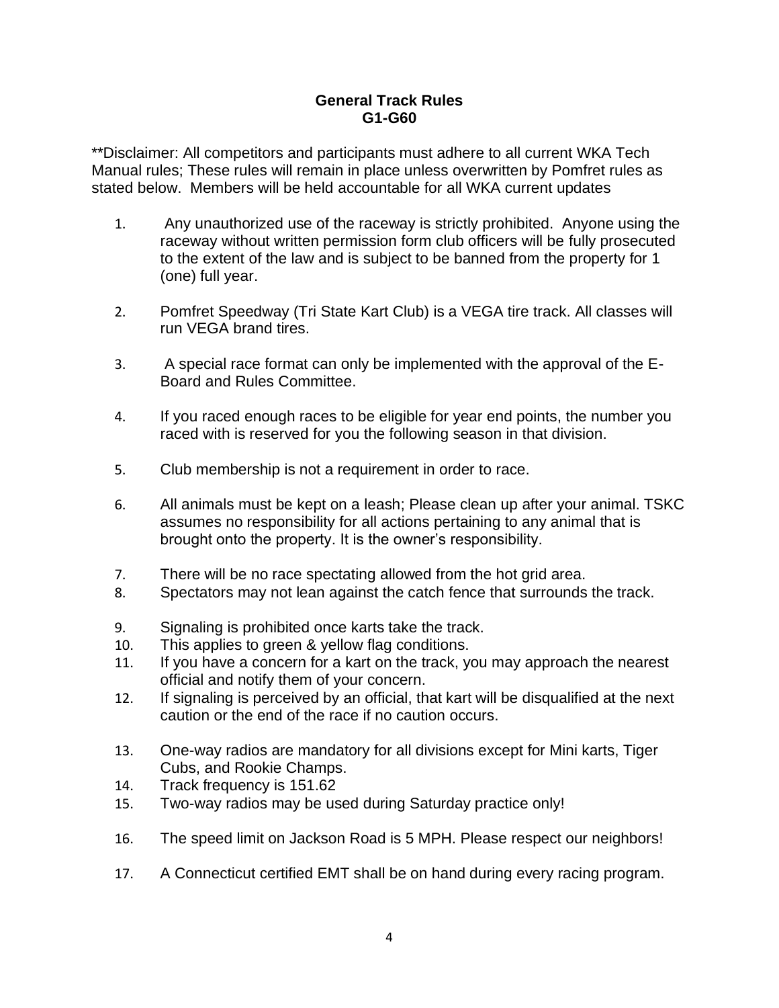#### **General Track Rules G1-G60**

\*\*Disclaimer: All competitors and participants must adhere to all current WKA Tech Manual rules; These rules will remain in place unless overwritten by Pomfret rules as stated below. Members will be held accountable for all WKA current updates

- 1. Any unauthorized use of the raceway is strictly prohibited. Anyone using the raceway without written permission form club officers will be fully prosecuted to the extent of the law and is subject to be banned from the property for 1 (one) full year.
- 2. Pomfret Speedway (Tri State Kart Club) is a VEGA tire track. All classes will run VEGA brand tires.
- 3. A special race format can only be implemented with the approval of the E-Board and Rules Committee.
- 4. If you raced enough races to be eligible for year end points, the number you raced with is reserved for you the following season in that division.
- 5. Club membership is not a requirement in order to race.
- 6. All animals must be kept on a leash; Please clean up after your animal. TSKC assumes no responsibility for all actions pertaining to any animal that is brought onto the property. It is the owner's responsibility.
- 7. There will be no race spectating allowed from the hot grid area.
- 8. Spectators may not lean against the catch fence that surrounds the track.
- 9. Signaling is prohibited once karts take the track.
- 10. This applies to green & yellow flag conditions.
- 11. If you have a concern for a kart on the track, you may approach the nearest official and notify them of your concern.
- 12. If signaling is perceived by an official, that kart will be disqualified at the next caution or the end of the race if no caution occurs.
- 13. One-way radios are mandatory for all divisions except for Mini karts, Tiger Cubs, and Rookie Champs.
- 14. Track frequency is 151.62
- 15. Two-way radios may be used during Saturday practice only!
- 16. The speed limit on Jackson Road is 5 MPH. Please respect our neighbors!
- 17. A Connecticut certified EMT shall be on hand during every racing program.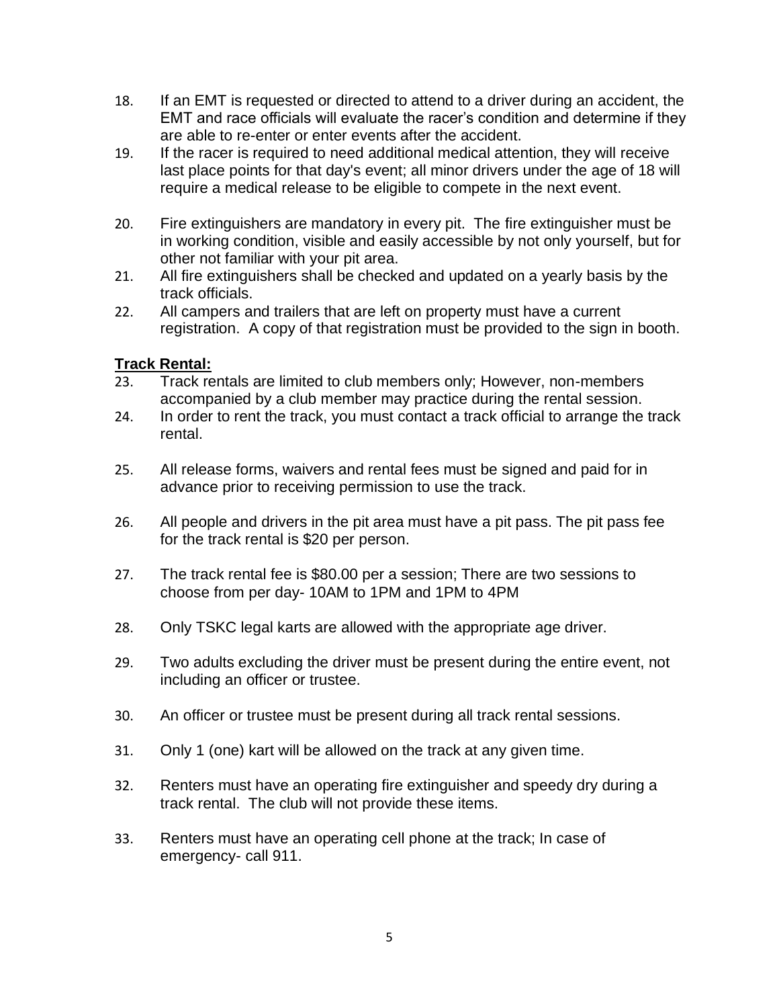- 18. If an EMT is requested or directed to attend to a driver during an accident, the EMT and race officials will evaluate the racer's condition and determine if they are able to re-enter or enter events after the accident.
- 19. If the racer is required to need additional medical attention, they will receive last place points for that day's event; all minor drivers under the age of 18 will require a medical release to be eligible to compete in the next event.
- 20. Fire extinguishers are mandatory in every pit. The fire extinguisher must be in working condition, visible and easily accessible by not only yourself, but for other not familiar with your pit area.
- 21. All fire extinguishers shall be checked and updated on a yearly basis by the track officials.
- 22. All campers and trailers that are left on property must have a current registration. A copy of that registration must be provided to the sign in booth.

## **Track Rental:**

- 23. Track rentals are limited to club members only; However, non-members accompanied by a club member may practice during the rental session.
- 24. In order to rent the track, you must contact a track official to arrange the track rental.
- 25. All release forms, waivers and rental fees must be signed and paid for in advance prior to receiving permission to use the track.
- 26. All people and drivers in the pit area must have a pit pass. The pit pass fee for the track rental is \$20 per person.
- 27. The track rental fee is \$80.00 per a session; There are two sessions to choose from per day- 10AM to 1PM and 1PM to 4PM
- 28. Only TSKC legal karts are allowed with the appropriate age driver.
- 29. Two adults excluding the driver must be present during the entire event, not including an officer or trustee.
- 30. An officer or trustee must be present during all track rental sessions.
- 31. Only 1 (one) kart will be allowed on the track at any given time.
- 32. Renters must have an operating fire extinguisher and speedy dry during a track rental. The club will not provide these items.
- 33. Renters must have an operating cell phone at the track; In case of emergency- call 911.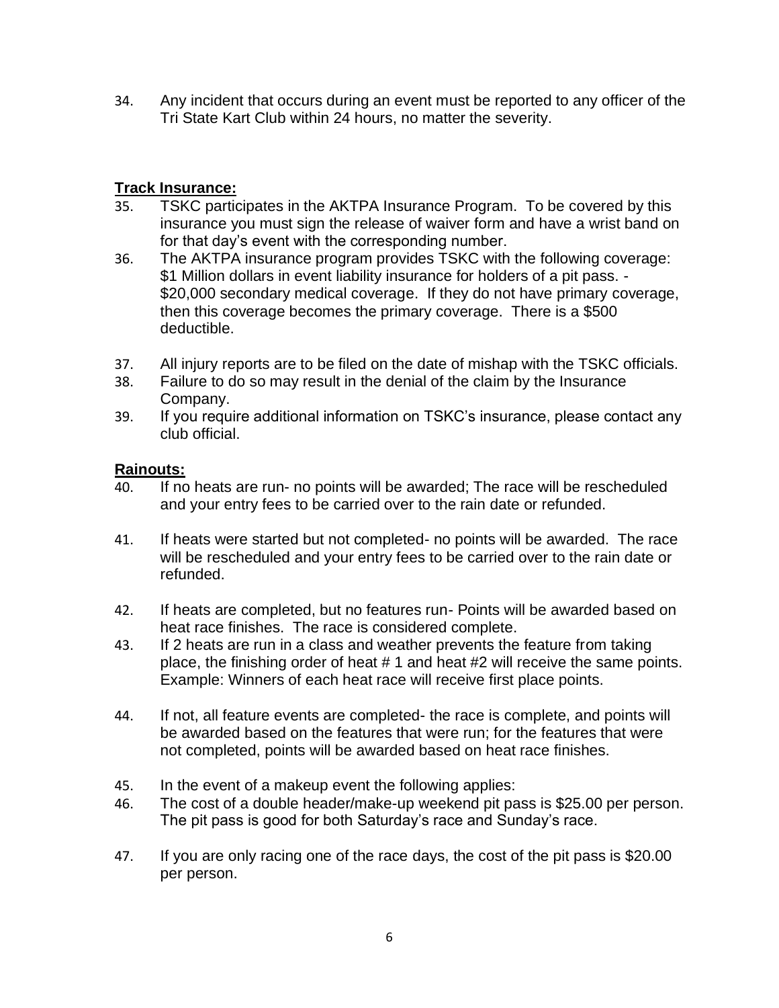34. Any incident that occurs during an event must be reported to any officer of the Tri State Kart Club within 24 hours, no matter the severity.

## **Track Insurance:**

- 35. TSKC participates in the AKTPA Insurance Program. To be covered by this insurance you must sign the release of waiver form and have a wrist band on for that day's event with the corresponding number.
- 36. The AKTPA insurance program provides TSKC with the following coverage: \$1 Million dollars in event liability insurance for holders of a pit pass. - \$20,000 secondary medical coverage. If they do not have primary coverage, then this coverage becomes the primary coverage. There is a \$500 deductible.
- 37. All injury reports are to be filed on the date of mishap with the TSKC officials.
- 38. Failure to do so may result in the denial of the claim by the Insurance Company.
- 39. If you require additional information on TSKC's insurance, please contact any club official.

## **Rainouts:**

- 40. If no heats are run- no points will be awarded; The race will be rescheduled and your entry fees to be carried over to the rain date or refunded.
- 41. If heats were started but not completed- no points will be awarded. The race will be rescheduled and your entry fees to be carried over to the rain date or refunded.
- 42. If heats are completed, but no features run- Points will be awarded based on heat race finishes. The race is considered complete.
- 43. If 2 heats are run in a class and weather prevents the feature from taking place, the finishing order of heat # 1 and heat #2 will receive the same points. Example: Winners of each heat race will receive first place points.
- 44. If not, all feature events are completed- the race is complete, and points will be awarded based on the features that were run; for the features that were not completed, points will be awarded based on heat race finishes.
- 45. In the event of a makeup event the following applies:
- 46. The cost of a double header/make-up weekend pit pass is \$25.00 per person. The pit pass is good for both Saturday's race and Sunday's race.
- 47. If you are only racing one of the race days, the cost of the pit pass is \$20.00 per person.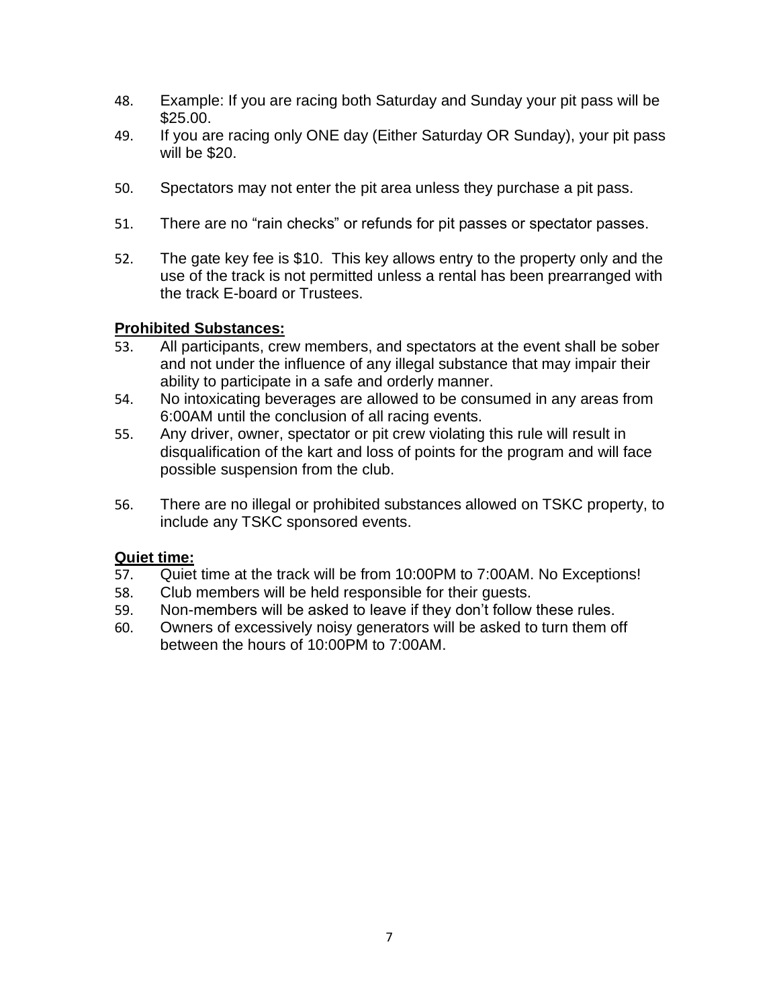- 48. Example: If you are racing both Saturday and Sunday your pit pass will be \$25.00.
- 49. If you are racing only ONE day (Either Saturday OR Sunday), your pit pass will be \$20.
- 50. Spectators may not enter the pit area unless they purchase a pit pass.
- 51. There are no "rain checks" or refunds for pit passes or spectator passes.
- 52. The gate key fee is \$10. This key allows entry to the property only and the use of the track is not permitted unless a rental has been prearranged with the track E-board or Trustees.

## **Prohibited Substances:**

- 53. All participants, crew members, and spectators at the event shall be sober and not under the influence of any illegal substance that may impair their ability to participate in a safe and orderly manner.
- 54. No intoxicating beverages are allowed to be consumed in any areas from 6:00AM until the conclusion of all racing events.
- 55. Any driver, owner, spectator or pit crew violating this rule will result in disqualification of the kart and loss of points for the program and will face possible suspension from the club.
- 56. There are no illegal or prohibited substances allowed on TSKC property, to include any TSKC sponsored events.

## **Quiet time:**

- 57. Quiet time at the track will be from 10:00PM to 7:00AM. No Exceptions!
- 58. Club members will be held responsible for their guests.
- 59. Non-members will be asked to leave if they don't follow these rules.
- 60. Owners of excessively noisy generators will be asked to turn them off between the hours of 10:00PM to 7:00AM.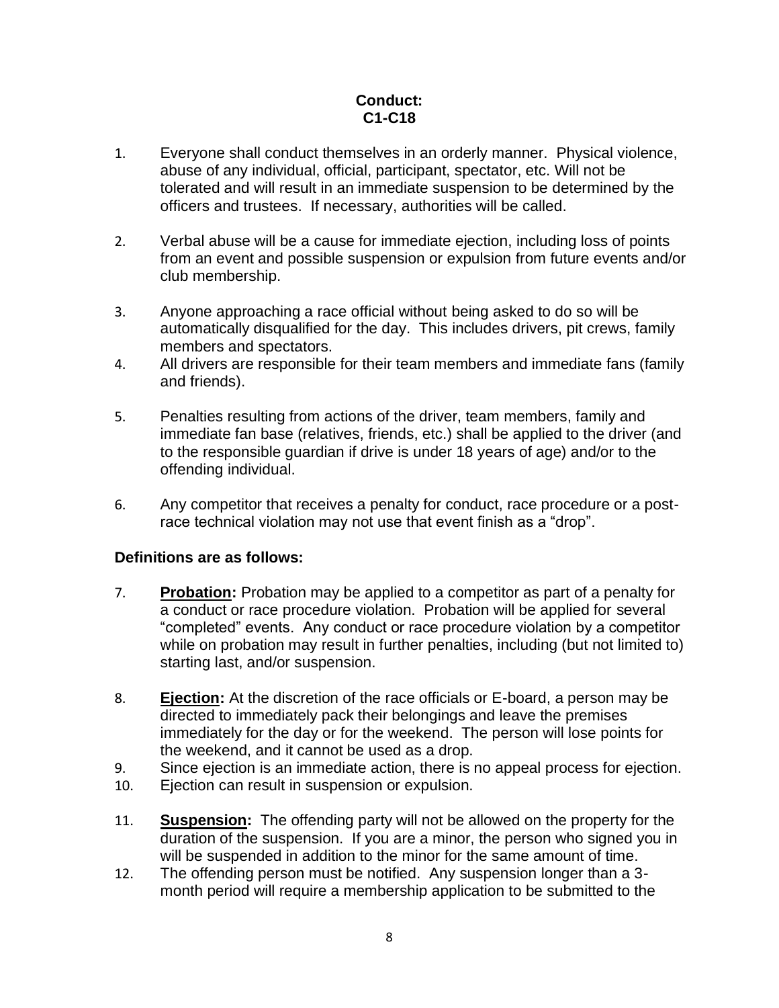## **Conduct: C1-C18**

- 1. Everyone shall conduct themselves in an orderly manner. Physical violence, abuse of any individual, official, participant, spectator, etc. Will not be tolerated and will result in an immediate suspension to be determined by the officers and trustees. If necessary, authorities will be called.
- 2. Verbal abuse will be a cause for immediate ejection, including loss of points from an event and possible suspension or expulsion from future events and/or club membership.
- 3. Anyone approaching a race official without being asked to do so will be automatically disqualified for the day. This includes drivers, pit crews, family members and spectators.
- 4. All drivers are responsible for their team members and immediate fans (family and friends).
- 5. Penalties resulting from actions of the driver, team members, family and immediate fan base (relatives, friends, etc.) shall be applied to the driver (and to the responsible guardian if drive is under 18 years of age) and/or to the offending individual.
- 6. Any competitor that receives a penalty for conduct, race procedure or a postrace technical violation may not use that event finish as a "drop".

## **Definitions are as follows:**

- 7. **Probation:** Probation may be applied to a competitor as part of a penalty for a conduct or race procedure violation. Probation will be applied for several "completed" events. Any conduct or race procedure violation by a competitor while on probation may result in further penalties, including (but not limited to) starting last, and/or suspension.
- 8. **Ejection:** At the discretion of the race officials or E-board, a person may be directed to immediately pack their belongings and leave the premises immediately for the day or for the weekend. The person will lose points for the weekend, and it cannot be used as a drop.
- 9. Since ejection is an immediate action, there is no appeal process for ejection.
- 10. Ejection can result in suspension or expulsion.
- 11. **Suspension:** The offending party will not be allowed on the property for the duration of the suspension. If you are a minor, the person who signed you in will be suspended in addition to the minor for the same amount of time.
- 12. The offending person must be notified. Any suspension longer than a 3 month period will require a membership application to be submitted to the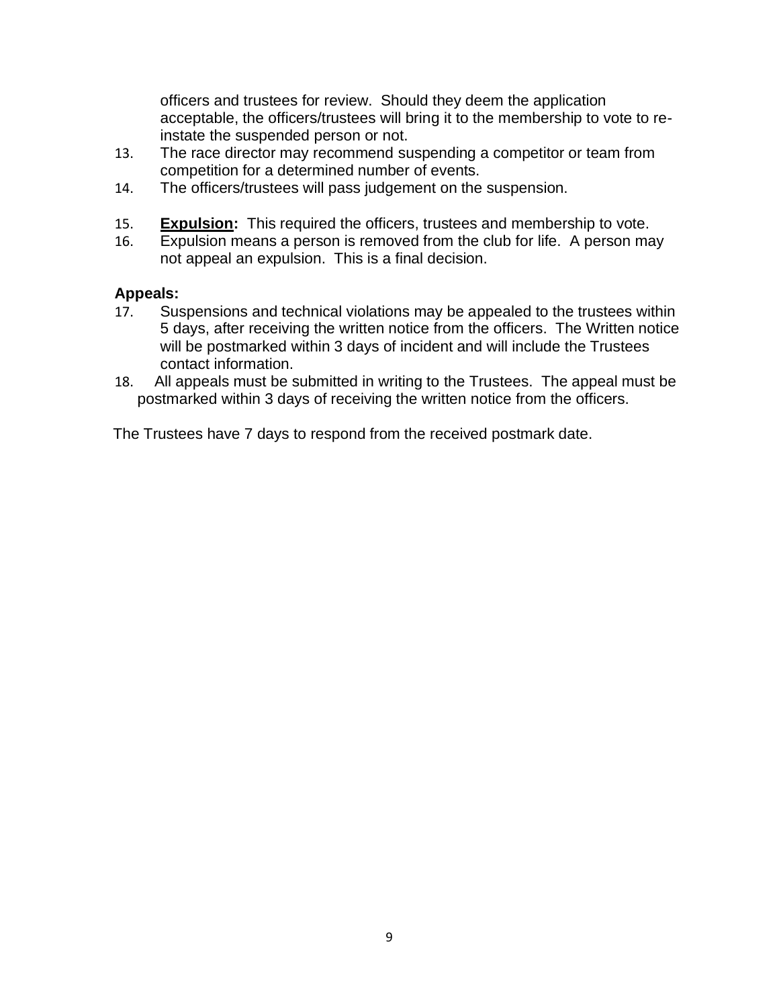officers and trustees for review. Should they deem the application acceptable, the officers/trustees will bring it to the membership to vote to reinstate the suspended person or not.

- 13. The race director may recommend suspending a competitor or team from competition for a determined number of events.
- 14. The officers/trustees will pass judgement on the suspension.
- 15. **Expulsion:** This required the officers, trustees and membership to vote.
- 16. Expulsion means a person is removed from the club for life. A person may not appeal an expulsion. This is a final decision.

#### **Appeals:**

- 17. Suspensions and technical violations may be appealed to the trustees within 5 days, after receiving the written notice from the officers. The Written notice will be postmarked within 3 days of incident and will include the Trustees contact information.
- 18. All appeals must be submitted in writing to the Trustees. The appeal must be postmarked within 3 days of receiving the written notice from the officers.

The Trustees have 7 days to respond from the received postmark date.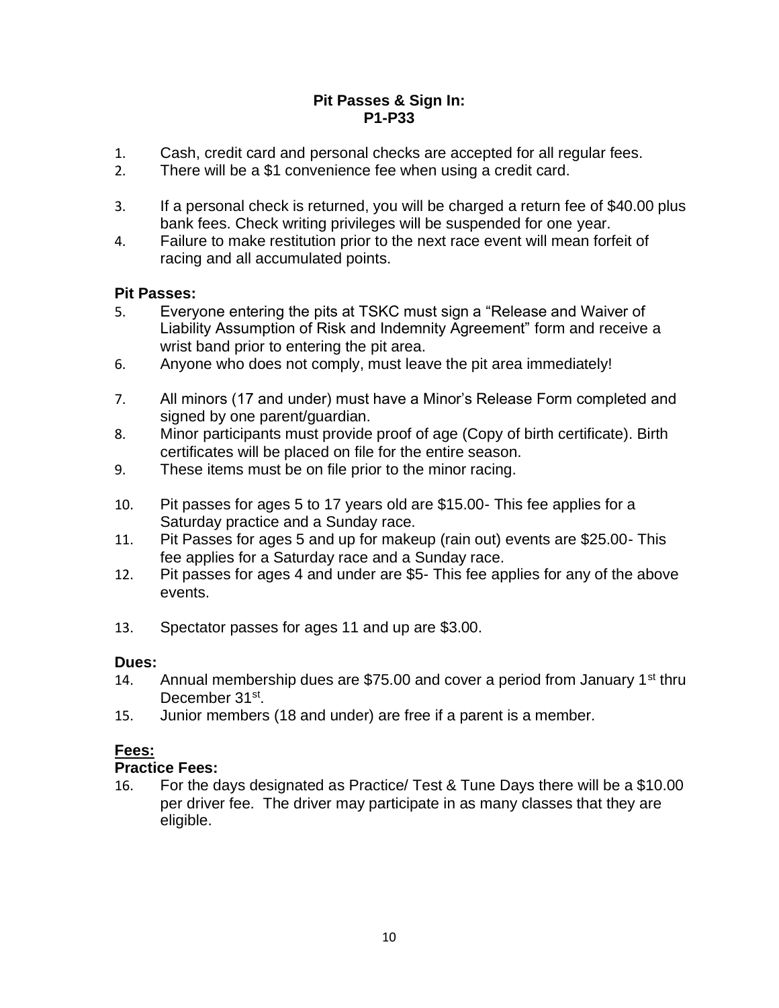#### **Pit Passes & Sign In: P1-P33**

- 1. Cash, credit card and personal checks are accepted for all regular fees.
- 2. There will be a \$1 convenience fee when using a credit card.
- 3. If a personal check is returned, you will be charged a return fee of \$40.00 plus bank fees. Check writing privileges will be suspended for one year.
- 4. Failure to make restitution prior to the next race event will mean forfeit of racing and all accumulated points.

## **Pit Passes:**

- 5. Everyone entering the pits at TSKC must sign a "Release and Waiver of Liability Assumption of Risk and Indemnity Agreement" form and receive a wrist band prior to entering the pit area.
- 6. Anyone who does not comply, must leave the pit area immediately!
- 7. All minors (17 and under) must have a Minor's Release Form completed and signed by one parent/guardian.
- 8. Minor participants must provide proof of age (Copy of birth certificate). Birth certificates will be placed on file for the entire season.
- 9. These items must be on file prior to the minor racing.
- 10. Pit passes for ages 5 to 17 years old are \$15.00- This fee applies for a Saturday practice and a Sunday race.
- 11. Pit Passes for ages 5 and up for makeup (rain out) events are \$25.00- This fee applies for a Saturday race and a Sunday race.
- 12. Pit passes for ages 4 and under are \$5- This fee applies for any of the above events.
- 13. Spectator passes for ages 11 and up are \$3.00.

## **Dues:**

- 14. Annual membership dues are \$75.00 and cover a period from January  $1<sup>st</sup>$  thru December 31<sup>st</sup>.
- 15. Junior members (18 and under) are free if a parent is a member.

# **Fees:**

# **Practice Fees:**

16. For the days designated as Practice/ Test & Tune Days there will be a \$10.00 per driver fee. The driver may participate in as many classes that they are eligible.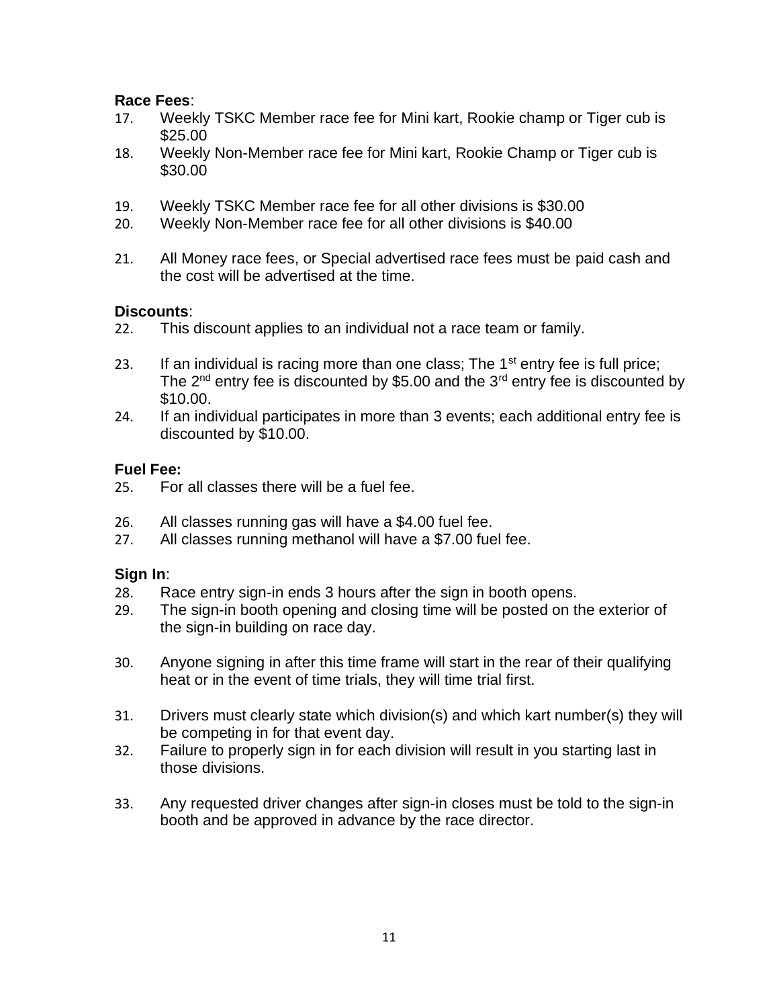## **Race Fees**:

- 17. Weekly TSKC Member race fee for Mini kart, Rookie champ or Tiger cub is \$25.00
- 18. Weekly Non-Member race fee for Mini kart, Rookie Champ or Tiger cub is \$30.00
- 19. Weekly TSKC Member race fee for all other divisions is \$30.00
- 20. Weekly Non-Member race fee for all other divisions is \$40.00
- 21. All Money race fees, or Special advertised race fees must be paid cash and the cost will be advertised at the time.

## **Discounts**:

- 22. This discount applies to an individual not a race team or family.
- 23. If an individual is racing more than one class; The  $1<sup>st</sup>$  entry fee is full price; The  $2^{nd}$  entry fee is discounted by \$5.00 and the  $3^{rd}$  entry fee is discounted by \$10.00.
- 24. If an individual participates in more than 3 events; each additional entry fee is discounted by \$10.00.

## **Fuel Fee:**

- 25. For all classes there will be a fuel fee.
- 26. All classes running gas will have a \$4.00 fuel fee.
- 27. All classes running methanol will have a \$7.00 fuel fee.

#### **Sign In**:

- 28. Race entry sign-in ends 3 hours after the sign in booth opens.
- 29. The sign-in booth opening and closing time will be posted on the exterior of the sign-in building on race day.
- 30. Anyone signing in after this time frame will start in the rear of their qualifying heat or in the event of time trials, they will time trial first.
- 31. Drivers must clearly state which division(s) and which kart number(s) they will be competing in for that event day.
- 32. Failure to properly sign in for each division will result in you starting last in those divisions.
- 33. Any requested driver changes after sign-in closes must be told to the sign-in booth and be approved in advance by the race director.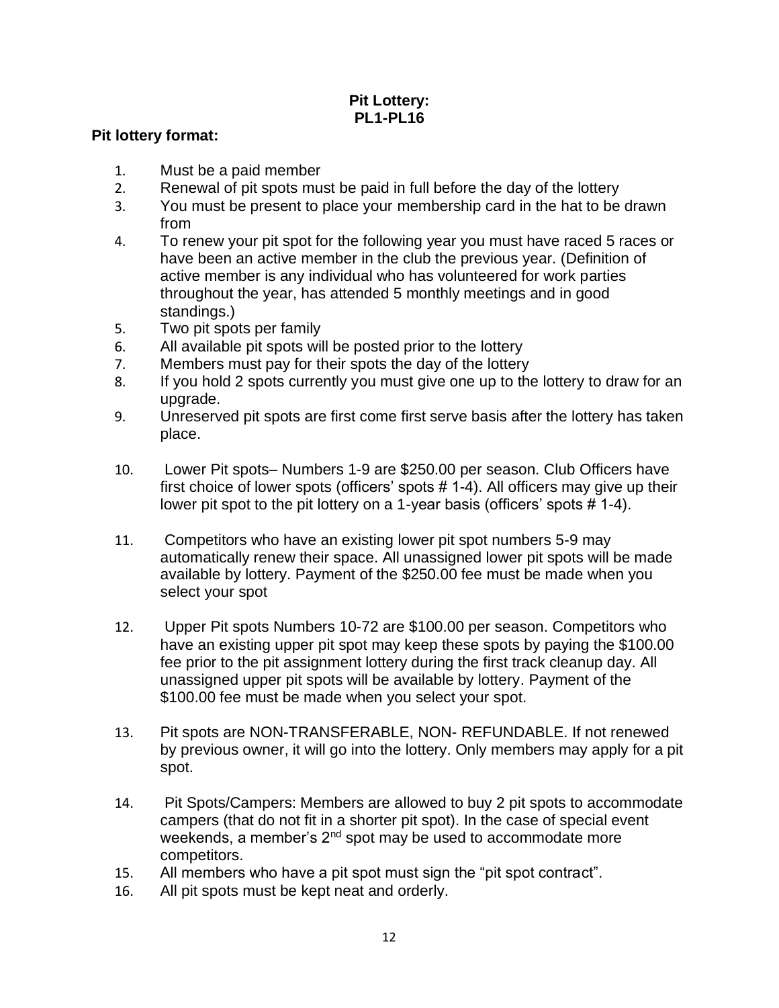## **Pit Lottery: PL1-PL16**

## **Pit lottery format:**

- 1. Must be a paid member
- 2. Renewal of pit spots must be paid in full before the day of the lottery
- 3. You must be present to place your membership card in the hat to be drawn from
- 4. To renew your pit spot for the following year you must have raced 5 races or have been an active member in the club the previous year. (Definition of active member is any individual who has volunteered for work parties throughout the year, has attended 5 monthly meetings and in good standings.)
- 5. Two pit spots per family
- 6. All available pit spots will be posted prior to the lottery
- 7. Members must pay for their spots the day of the lottery
- 8. If you hold 2 spots currently you must give one up to the lottery to draw for an upgrade.
- 9. Unreserved pit spots are first come first serve basis after the lottery has taken place.
- 10. Lower Pit spots– Numbers 1-9 are \$250.00 per season. Club Officers have first choice of lower spots (officers' spots # 1-4). All officers may give up their lower pit spot to the pit lottery on a 1-year basis (officers' spots # 1-4).
- 11. Competitors who have an existing lower pit spot numbers 5-9 may automatically renew their space. All unassigned lower pit spots will be made available by lottery. Payment of the \$250.00 fee must be made when you select your spot
- 12. Upper Pit spots Numbers 10-72 are \$100.00 per season. Competitors who have an existing upper pit spot may keep these spots by paying the \$100.00 fee prior to the pit assignment lottery during the first track cleanup day. All unassigned upper pit spots will be available by lottery. Payment of the \$100.00 fee must be made when you select your spot.
- 13. Pit spots are NON-TRANSFERABLE, NON- REFUNDABLE. If not renewed by previous owner, it will go into the lottery. Only members may apply for a pit spot.
- 14. Pit Spots/Campers: Members are allowed to buy 2 pit spots to accommodate campers (that do not fit in a shorter pit spot). In the case of special event weekends, a member's  $2<sup>nd</sup>$  spot may be used to accommodate more competitors.
- 15. All members who have a pit spot must sign the "pit spot contract".
- 16. All pit spots must be kept neat and orderly.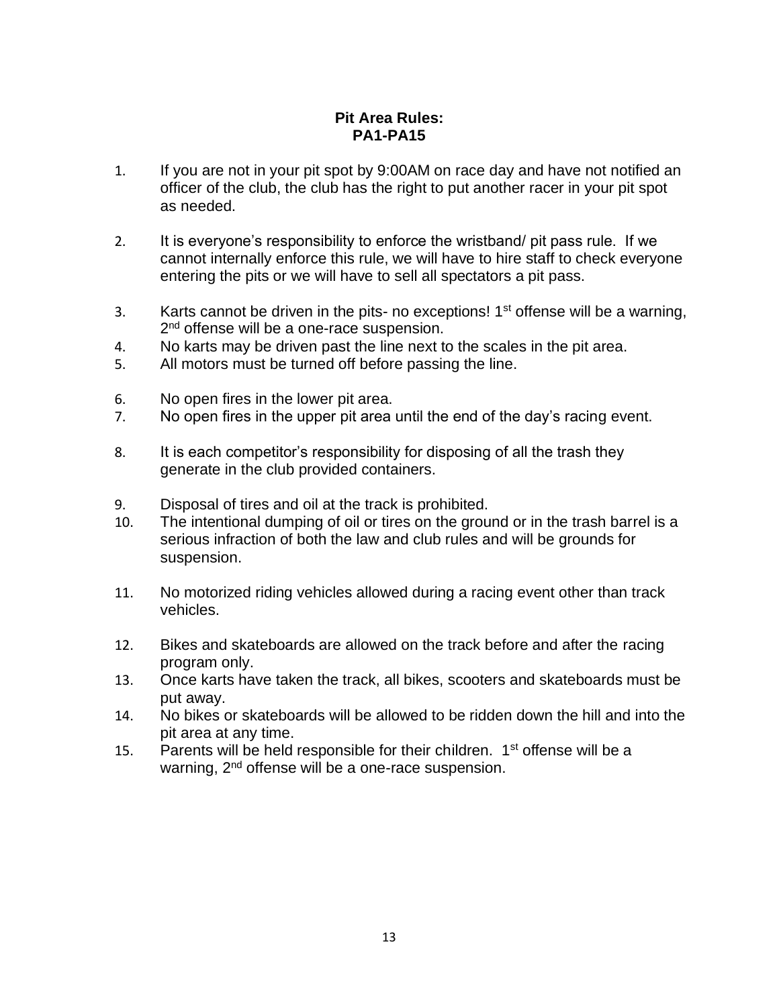## **Pit Area Rules: PA1-PA15**

- 1. If you are not in your pit spot by 9:00AM on race day and have not notified an officer of the club, the club has the right to put another racer in your pit spot as needed.
- 2. It is everyone's responsibility to enforce the wristband/ pit pass rule. If we cannot internally enforce this rule, we will have to hire staff to check everyone entering the pits or we will have to sell all spectators a pit pass.
- 3. Karts cannot be driven in the pits- no exceptions!  $1<sup>st</sup>$  offense will be a warning, 2<sup>nd</sup> offense will be a one-race suspension.
- 4. No karts may be driven past the line next to the scales in the pit area.
- 5. All motors must be turned off before passing the line.
- 6. No open fires in the lower pit area.
- 7. No open fires in the upper pit area until the end of the day's racing event.
- 8. It is each competitor's responsibility for disposing of all the trash they generate in the club provided containers.
- 9. Disposal of tires and oil at the track is prohibited.
- 10. The intentional dumping of oil or tires on the ground or in the trash barrel is a serious infraction of both the law and club rules and will be grounds for suspension.
- 11. No motorized riding vehicles allowed during a racing event other than track vehicles.
- 12. Bikes and skateboards are allowed on the track before and after the racing program only.
- 13. Once karts have taken the track, all bikes, scooters and skateboards must be put away.
- 14. No bikes or skateboards will be allowed to be ridden down the hill and into the pit area at any time.
- 15. Parents will be held responsible for their children.  $1<sup>st</sup>$  offense will be a warning, 2<sup>nd</sup> offense will be a one-race suspension.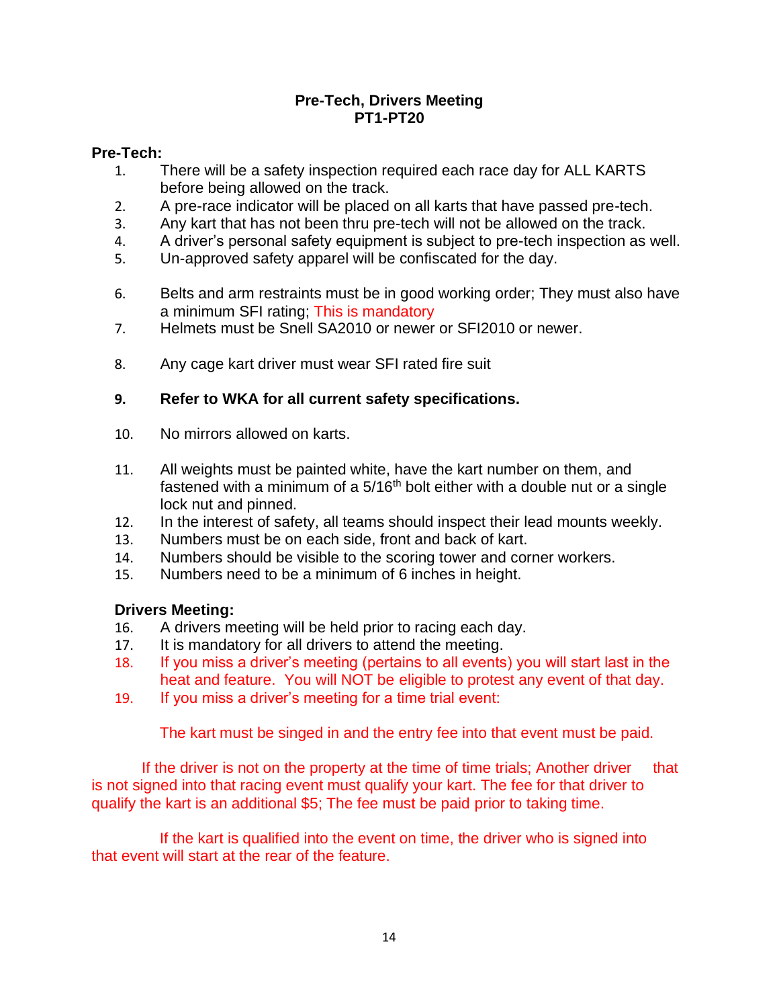#### **Pre-Tech, Drivers Meeting PT1-PT20**

#### **Pre-Tech:**

- 1. There will be a safety inspection required each race day for ALL KARTS before being allowed on the track.
- 2. A pre-race indicator will be placed on all karts that have passed pre-tech.
- 3. Any kart that has not been thru pre-tech will not be allowed on the track.
- 4. A driver's personal safety equipment is subject to pre-tech inspection as well.
- 5. Un-approved safety apparel will be confiscated for the day.
- 6. Belts and arm restraints must be in good working order; They must also have a minimum SFI rating; This is mandatory
- 7. Helmets must be Snell SA2010 or newer or SFI2010 or newer.
- 8. Any cage kart driver must wear SFI rated fire suit

## **9. Refer to WKA for all current safety specifications.**

- 10. No mirrors allowed on karts.
- 11. All weights must be painted white, have the kart number on them, and fastened with a minimum of a  $5/16<sup>th</sup>$  bolt either with a double nut or a single lock nut and pinned.
- 12. In the interest of safety, all teams should inspect their lead mounts weekly.
- 13. Numbers must be on each side, front and back of kart.
- 14. Numbers should be visible to the scoring tower and corner workers.
- 15. Numbers need to be a minimum of 6 inches in height.

#### **Drivers Meeting:**

- 16. A drivers meeting will be held prior to racing each day.
- 17. It is mandatory for all drivers to attend the meeting.
- 18. If you miss a driver's meeting (pertains to all events) you will start last in the heat and feature. You will NOT be eligible to protest any event of that day.
- 19. If you miss a driver's meeting for a time trial event:

The kart must be singed in and the entry fee into that event must be paid.

If the driver is not on the property at the time of time trials; Another driver that is not signed into that racing event must qualify your kart. The fee for that driver to qualify the kart is an additional \$5; The fee must be paid prior to taking time.

 If the kart is qualified into the event on time, the driver who is signed into that event will start at the rear of the feature.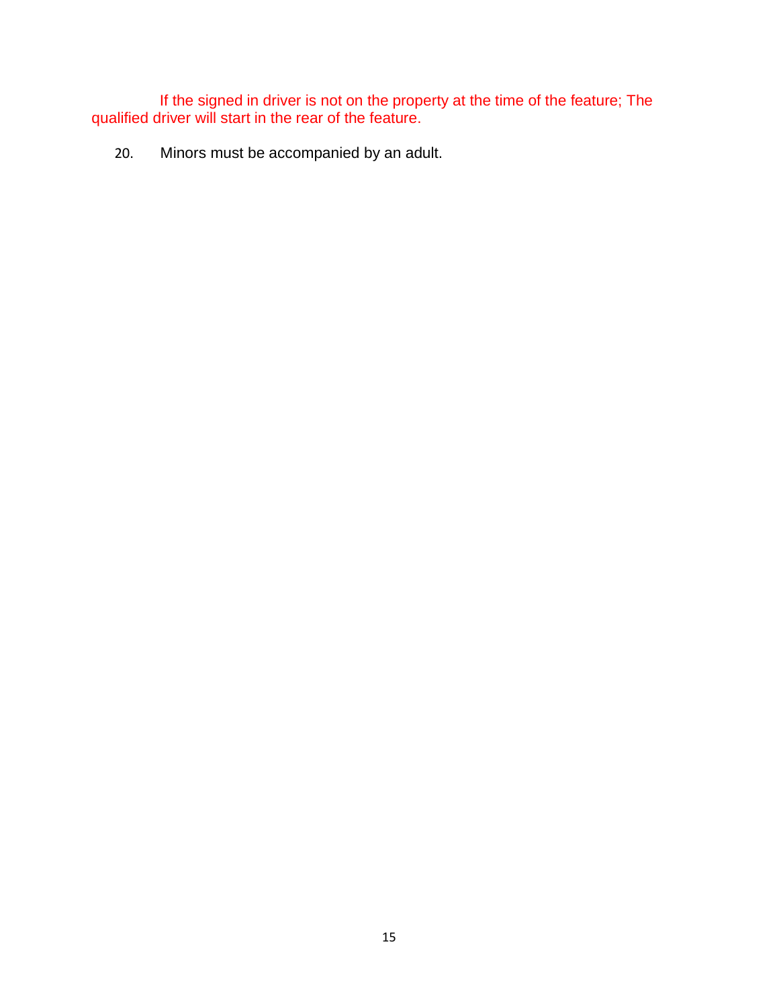If the signed in driver is not on the property at the time of the feature; The qualified driver will start in the rear of the feature.

20. Minors must be accompanied by an adult.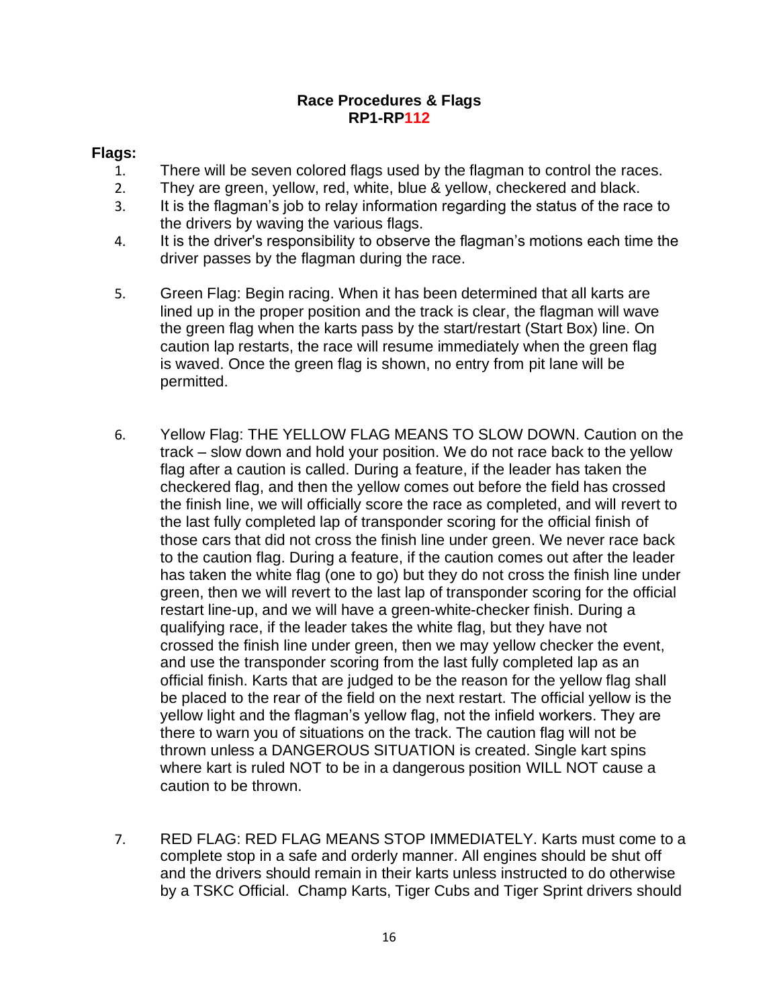#### **Race Procedures & Flags RP1-RP112**

#### **Flags:**

- 1. There will be seven colored flags used by the flagman to control the races.
- 2. They are green, yellow, red, white, blue & yellow, checkered and black.
- 3. It is the flagman's job to relay information regarding the status of the race to the drivers by waving the various flags.
- 4. It is the driver's responsibility to observe the flagman's motions each time the driver passes by the flagman during the race.
- 5. Green Flag: Begin racing. When it has been determined that all karts are lined up in the proper position and the track is clear, the flagman will wave the green flag when the karts pass by the start/restart (Start Box) line. On caution lap restarts, the race will resume immediately when the green flag is waved. Once the green flag is shown, no entry from pit lane will be permitted.
- 6. Yellow Flag: THE YELLOW FLAG MEANS TO SLOW DOWN. Caution on the track – slow down and hold your position. We do not race back to the yellow flag after a caution is called. During a feature, if the leader has taken the checkered flag, and then the yellow comes out before the field has crossed the finish line, we will officially score the race as completed, and will revert to the last fully completed lap of transponder scoring for the official finish of those cars that did not cross the finish line under green. We never race back to the caution flag. During a feature, if the caution comes out after the leader has taken the white flag (one to go) but they do not cross the finish line under green, then we will revert to the last lap of transponder scoring for the official restart line-up, and we will have a green-white-checker finish. During a qualifying race, if the leader takes the white flag, but they have not crossed the finish line under green, then we may yellow checker the event, and use the transponder scoring from the last fully completed lap as an official finish. Karts that are judged to be the reason for the yellow flag shall be placed to the rear of the field on the next restart. The official yellow is the yellow light and the flagman's yellow flag, not the infield workers. They are there to warn you of situations on the track. The caution flag will not be thrown unless a DANGEROUS SITUATION is created. Single kart spins where kart is ruled NOT to be in a dangerous position WILL NOT cause a caution to be thrown.
- 7. RED FLAG: RED FLAG MEANS STOP IMMEDIATELY. Karts must come to a complete stop in a safe and orderly manner. All engines should be shut off and the drivers should remain in their karts unless instructed to do otherwise by a TSKC Official. Champ Karts, Tiger Cubs and Tiger Sprint drivers should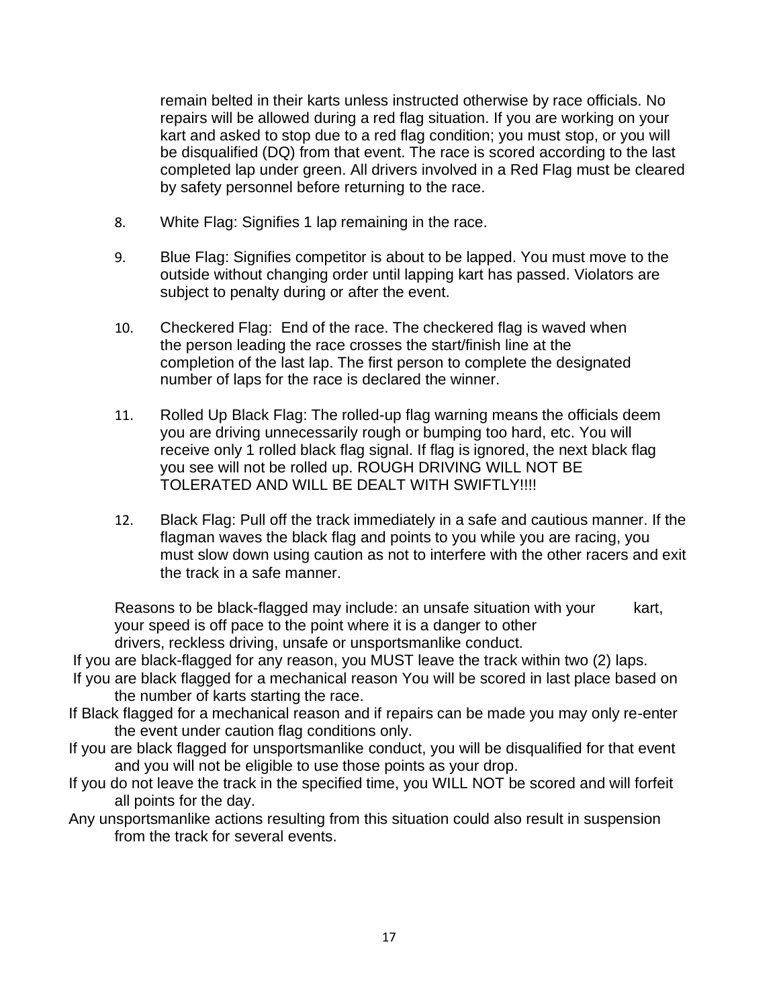remain belted in their karts unless instructed otherwise by race officials. No repairs will be allowed during a red flag situation. If you are working on your kart and asked to stop due to a red flag condition; you must stop, or you will be disqualified (DQ) from that event. The race is scored according to the last completed lap under green. All drivers involved in a Red Flag must be cleared by safety personnel before returning to the race.

- 8. White Flag: Signifies 1 lap remaining in the race.
- 9. Blue Flag: Signifies competitor is about to be lapped. You must move to the outside without changing order until lapping kart has passed. Violators are subject to penalty during or after the event.
- 10. Checkered Flag: End of the race. The checkered flag is waved when the person leading the race crosses the start/finish line at the completion of the last lap. The first person to complete the designated number of laps for the race is declared the winner.
- 11. Rolled Up Black Flag: The rolled-up flag warning means the officials deem you are driving unnecessarily rough or bumping too hard, etc. You will receive only 1 rolled black flag signal. If flag is ignored, the next black flag you see will not be rolled up. ROUGH DRIVING WILL NOT BE TOLERATED AND WILL BE DEALT WITH SWIFTLY!!!!
- 12. Black Flag: Pull off the track immediately in a safe and cautious manner. If the flagman waves the black flag and points to you while you are racing, you must slow down using caution as not to interfere with the other racers and exit the track in a safe manner.

Reasons to be black-flagged may include: an unsafe situation with your kart, your speed is off pace to the point where it is a danger to other drivers, reckless driving, unsafe or unsportsmanlike conduct.

If you are black-flagged for any reason, you MUST leave the track within two (2) laps.

- If you are black flagged for a mechanical reason You will be scored in last place based on the number of karts starting the race.
- If Black flagged for a mechanical reason and if repairs can be made you may only re-enter the event under caution flag conditions only.
- If you are black flagged for unsportsmanlike conduct, you will be disqualified for that event and you will not be eligible to use those points as your drop.
- If you do not leave the track in the specified time, you WILL NOT be scored and will forfeit all points for the day.
- Any unsportsmanlike actions resulting from this situation could also result in suspension from the track for several events.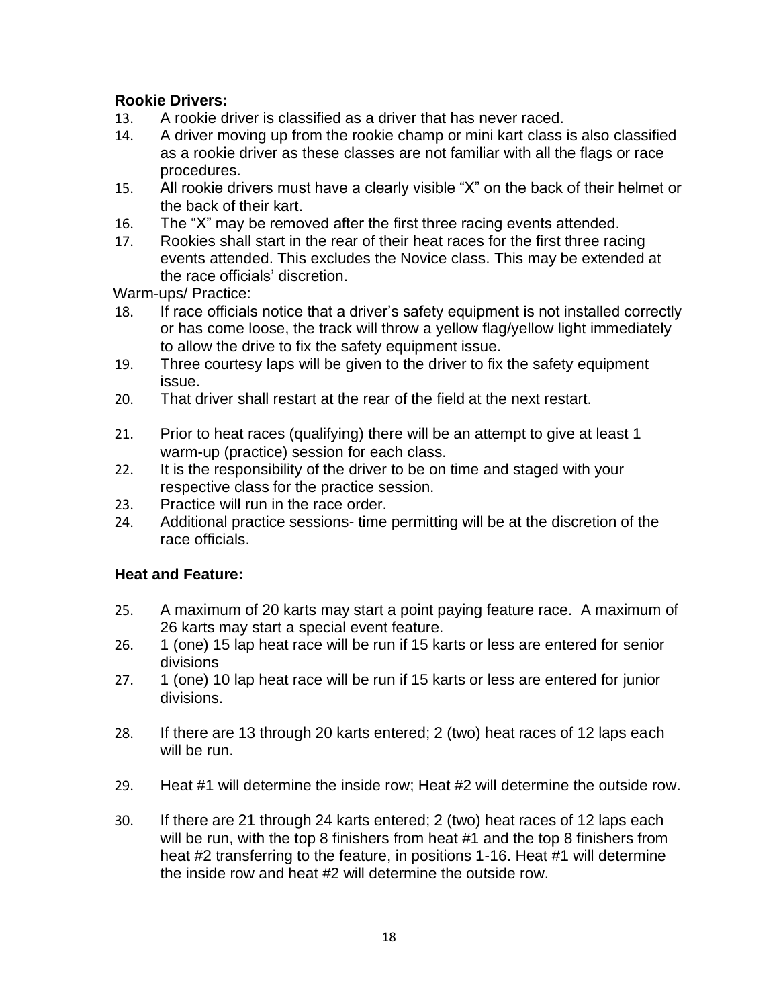## **Rookie Drivers:**

- 13. A rookie driver is classified as a driver that has never raced.
- 14. A driver moving up from the rookie champ or mini kart class is also classified as a rookie driver as these classes are not familiar with all the flags or race procedures.
- 15. All rookie drivers must have a clearly visible "X" on the back of their helmet or the back of their kart.
- 16. The "X" may be removed after the first three racing events attended.
- 17. Rookies shall start in the rear of their heat races for the first three racing events attended. This excludes the Novice class. This may be extended at the race officials' discretion.

Warm-ups/ Practice:

- 18. If race officials notice that a driver's safety equipment is not installed correctly or has come loose, the track will throw a yellow flag/yellow light immediately to allow the drive to fix the safety equipment issue.
- 19. Three courtesy laps will be given to the driver to fix the safety equipment issue.
- 20. That driver shall restart at the rear of the field at the next restart.
- 21. Prior to heat races (qualifying) there will be an attempt to give at least 1 warm-up (practice) session for each class.
- 22. It is the responsibility of the driver to be on time and staged with your respective class for the practice session.
- 23. Practice will run in the race order.
- 24. Additional practice sessions- time permitting will be at the discretion of the race officials.

## **Heat and Feature:**

- 25. A maximum of 20 karts may start a point paying feature race. A maximum of 26 karts may start a special event feature.
- 26. 1 (one) 15 lap heat race will be run if 15 karts or less are entered for senior divisions
- 27. 1 (one) 10 lap heat race will be run if 15 karts or less are entered for junior divisions.
- 28. If there are 13 through 20 karts entered; 2 (two) heat races of 12 laps each will be run.
- 29. Heat #1 will determine the inside row; Heat #2 will determine the outside row.
- 30. If there are 21 through 24 karts entered; 2 (two) heat races of 12 laps each will be run, with the top 8 finishers from heat #1 and the top 8 finishers from heat #2 transferring to the feature, in positions 1-16. Heat #1 will determine the inside row and heat #2 will determine the outside row.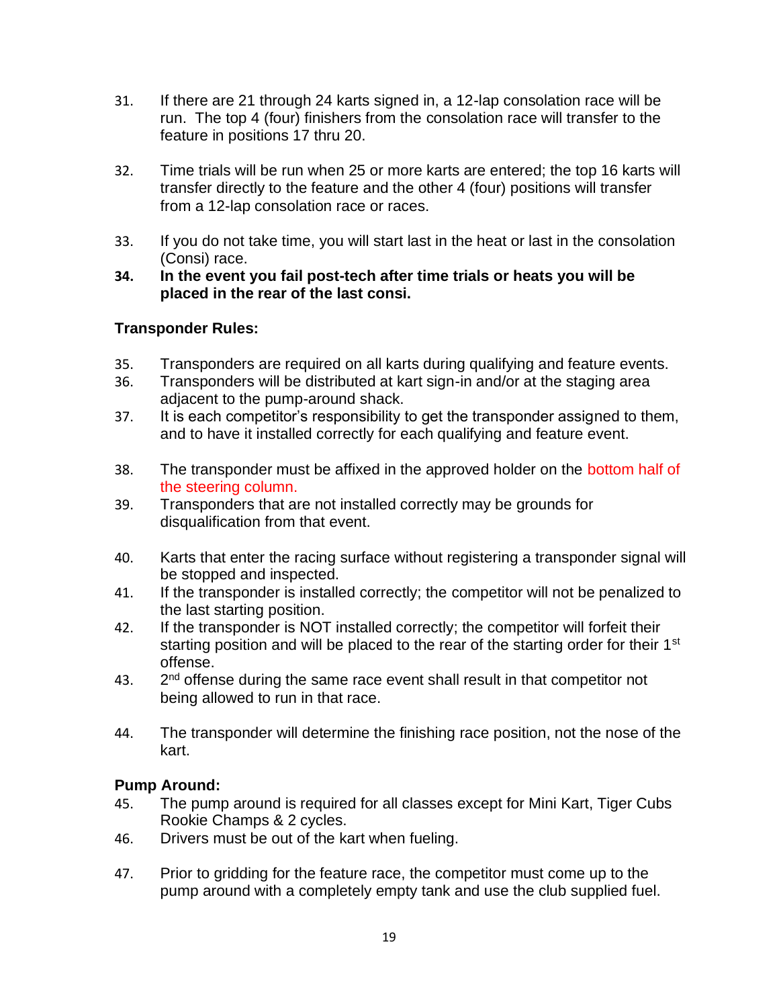- 31. If there are 21 through 24 karts signed in, a 12-lap consolation race will be run. The top 4 (four) finishers from the consolation race will transfer to the feature in positions 17 thru 20.
- 32. Time trials will be run when 25 or more karts are entered; the top 16 karts will transfer directly to the feature and the other 4 (four) positions will transfer from a 12-lap consolation race or races.
- 33. If you do not take time, you will start last in the heat or last in the consolation (Consi) race.
- **34. In the event you fail post-tech after time trials or heats you will be placed in the rear of the last consi.**

## **Transponder Rules:**

- 35. Transponders are required on all karts during qualifying and feature events.
- 36. Transponders will be distributed at kart sign-in and/or at the staging area adjacent to the pump-around shack.
- 37. It is each competitor's responsibility to get the transponder assigned to them, and to have it installed correctly for each qualifying and feature event.
- 38. The transponder must be affixed in the approved holder on the bottom half of the steering column.
- 39. Transponders that are not installed correctly may be grounds for disqualification from that event.
- 40. Karts that enter the racing surface without registering a transponder signal will be stopped and inspected.
- 41. If the transponder is installed correctly; the competitor will not be penalized to the last starting position.
- 42. If the transponder is NOT installed correctly; the competitor will forfeit their starting position and will be placed to the rear of the starting order for their 1<sup>st</sup> offense.
- 43. 2  $2<sup>nd</sup>$  offense during the same race event shall result in that competitor not being allowed to run in that race.
- 44. The transponder will determine the finishing race position, not the nose of the kart.

## **Pump Around:**

- 45. The pump around is required for all classes except for Mini Kart, Tiger Cubs Rookie Champs & 2 cycles.
- 46. Drivers must be out of the kart when fueling.
- 47. Prior to gridding for the feature race, the competitor must come up to the pump around with a completely empty tank and use the club supplied fuel.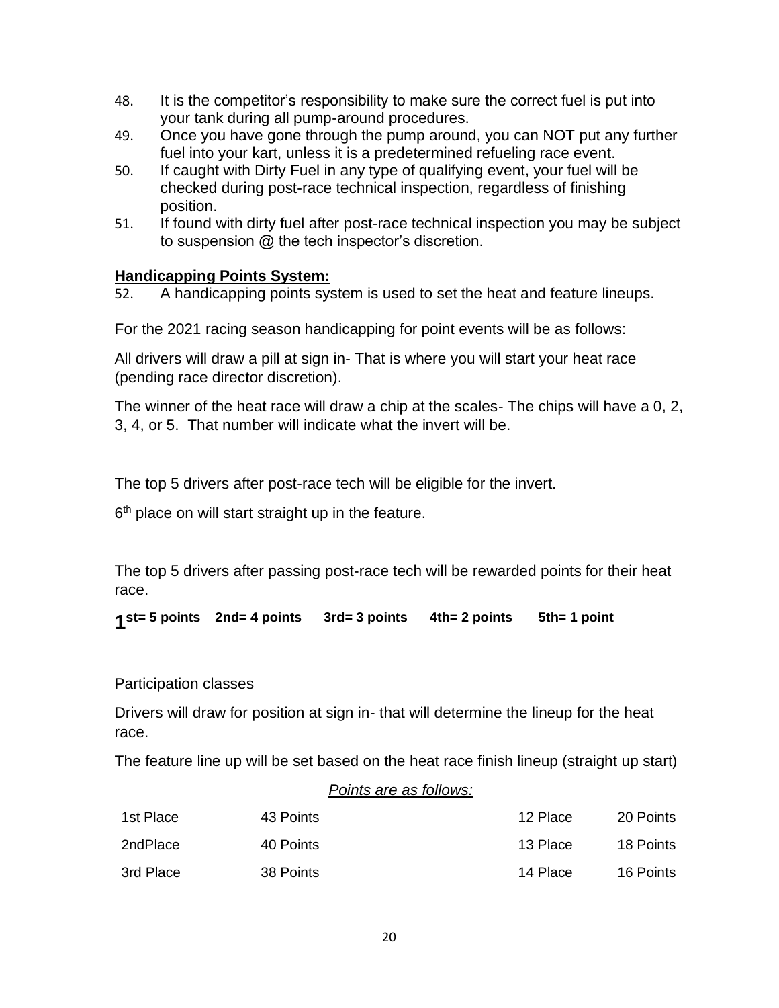- 48. It is the competitor's responsibility to make sure the correct fuel is put into your tank during all pump-around procedures.
- 49. Once you have gone through the pump around, you can NOT put any further fuel into your kart, unless it is a predetermined refueling race event.
- 50. If caught with Dirty Fuel in any type of qualifying event, your fuel will be checked during post-race technical inspection, regardless of finishing position.
- 51. If found with dirty fuel after post-race technical inspection you may be subject to suspension @ the tech inspector's discretion.

## **Handicapping Points System:**

52. A handicapping points system is used to set the heat and feature lineups.

For the 2021 racing season handicapping for point events will be as follows:

All drivers will draw a pill at sign in- That is where you will start your heat race (pending race director discretion).

The winner of the heat race will draw a chip at the scales- The chips will have a 0, 2, 3, 4, or 5. That number will indicate what the invert will be.

The top 5 drivers after post-race tech will be eligible for the invert.

6<sup>th</sup> place on will start straight up in the feature.

The top 5 drivers after passing post-race tech will be rewarded points for their heat race.

**1 st= 5 points 2nd= 4 points 3rd= 3 points 4th= 2 points 5th= 1 point**

#### Participation classes

Drivers will draw for position at sign in- that will determine the lineup for the heat race.

The feature line up will be set based on the heat race finish lineup (straight up start)

#### *Points are as follows:*

| 1st Place | 43 Points | 12 Place | 20 Points |
|-----------|-----------|----------|-----------|
| 2ndPlace  | 40 Points | 13 Place | 18 Points |
| 3rd Place | 38 Points | 14 Place | 16 Points |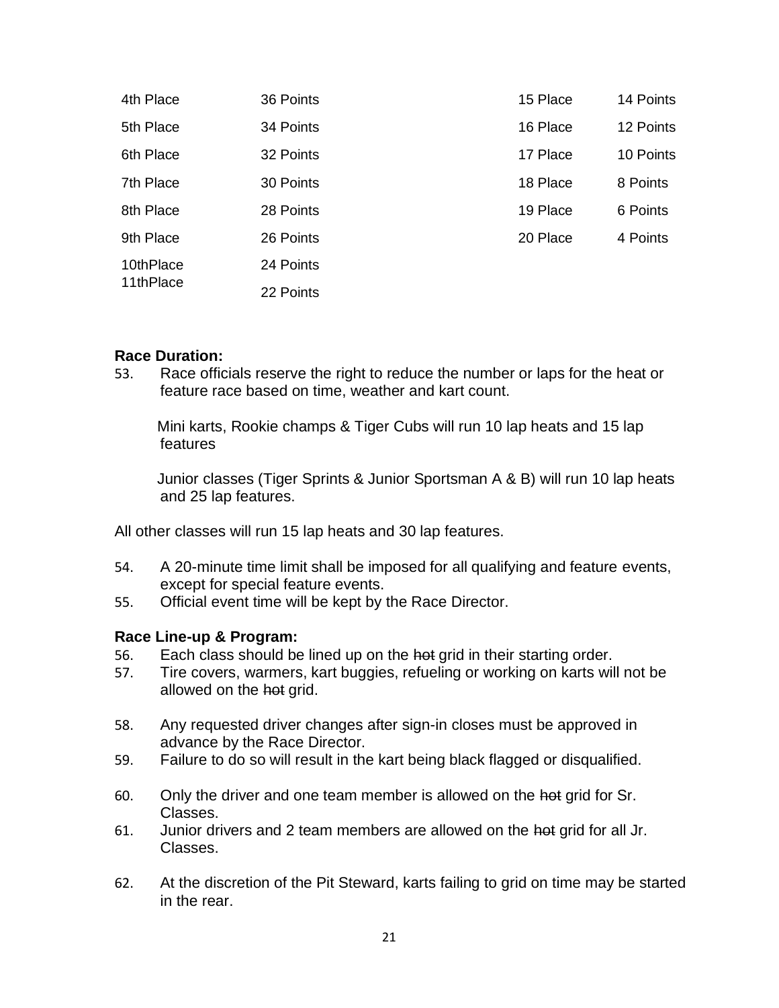| 4th Place | 36 Points | 15 Place | 14 Points |
|-----------|-----------|----------|-----------|
| 5th Place | 34 Points | 16 Place | 12 Points |
| 6th Place | 32 Points | 17 Place | 10 Points |
| 7th Place | 30 Points | 18 Place | 8 Points  |
| 8th Place | 28 Points | 19 Place | 6 Points  |
| 9th Place | 26 Points | 20 Place | 4 Points  |
| 10thPlace | 24 Points |          |           |
| 11thPlace | 22 Points |          |           |

#### **Race Duration:**

53. Race officials reserve the right to reduce the number or laps for the heat or feature race based on time, weather and kart count.

 Mini karts, Rookie champs & Tiger Cubs will run 10 lap heats and 15 lap features

 Junior classes (Tiger Sprints & Junior Sportsman A & B) will run 10 lap heats and 25 lap features.

All other classes will run 15 lap heats and 30 lap features.

- 54. A 20-minute time limit shall be imposed for all qualifying and feature events, except for special feature events.
- 55. Official event time will be kept by the Race Director.

#### **Race Line-up & Program:**

- 56. Each class should be lined up on the het grid in their starting order.
- 57. Tire covers, warmers, kart buggies, refueling or working on karts will not be allowed on the hot grid.
- 58. Any requested driver changes after sign-in closes must be approved in advance by the Race Director.
- 59. Failure to do so will result in the kart being black flagged or disqualified.
- 60. Only the driver and one team member is allowed on the hot grid for Sr. Classes.
- 61. Junior drivers and 2 team members are allowed on the hot grid for all Jr. Classes.
- 62. At the discretion of the Pit Steward, karts failing to grid on time may be started in the rear.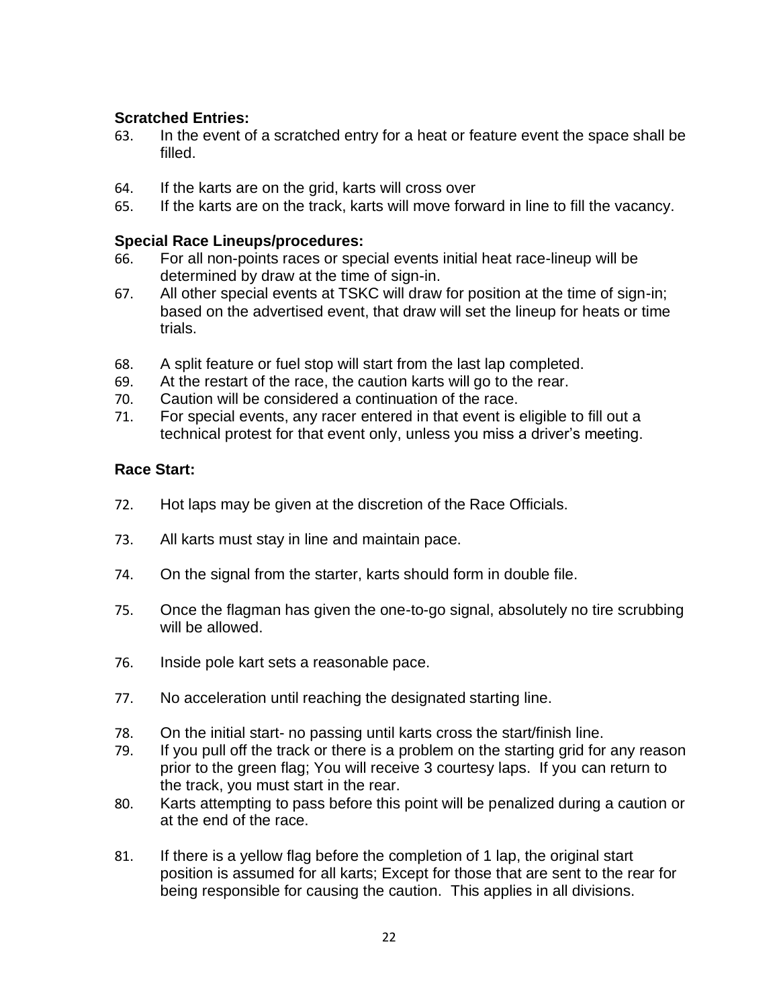## **Scratched Entries:**

- 63. In the event of a scratched entry for a heat or feature event the space shall be filled.
- 64. If the karts are on the grid, karts will cross over
- 65. If the karts are on the track, karts will move forward in line to fill the vacancy.

## **Special Race Lineups/procedures:**

- 66. For all non-points races or special events initial heat race-lineup will be determined by draw at the time of sign-in.
- 67. All other special events at TSKC will draw for position at the time of sign-in; based on the advertised event, that draw will set the lineup for heats or time trials.
- 68. A split feature or fuel stop will start from the last lap completed.
- 69. At the restart of the race, the caution karts will go to the rear.
- 70. Caution will be considered a continuation of the race.
- 71. For special events, any racer entered in that event is eligible to fill out a technical protest for that event only, unless you miss a driver's meeting.

## **Race Start:**

- 72. Hot laps may be given at the discretion of the Race Officials.
- 73. All karts must stay in line and maintain pace.
- 74. On the signal from the starter, karts should form in double file.
- 75. Once the flagman has given the one-to-go signal, absolutely no tire scrubbing will be allowed.
- 76. Inside pole kart sets a reasonable pace.
- 77. No acceleration until reaching the designated starting line.
- 78. On the initial start- no passing until karts cross the start/finish line.
- 79. If you pull off the track or there is a problem on the starting grid for any reason prior to the green flag; You will receive 3 courtesy laps. If you can return to the track, you must start in the rear.
- 80. Karts attempting to pass before this point will be penalized during a caution or at the end of the race.
- 81. If there is a yellow flag before the completion of 1 lap, the original start position is assumed for all karts; Except for those that are sent to the rear for being responsible for causing the caution. This applies in all divisions.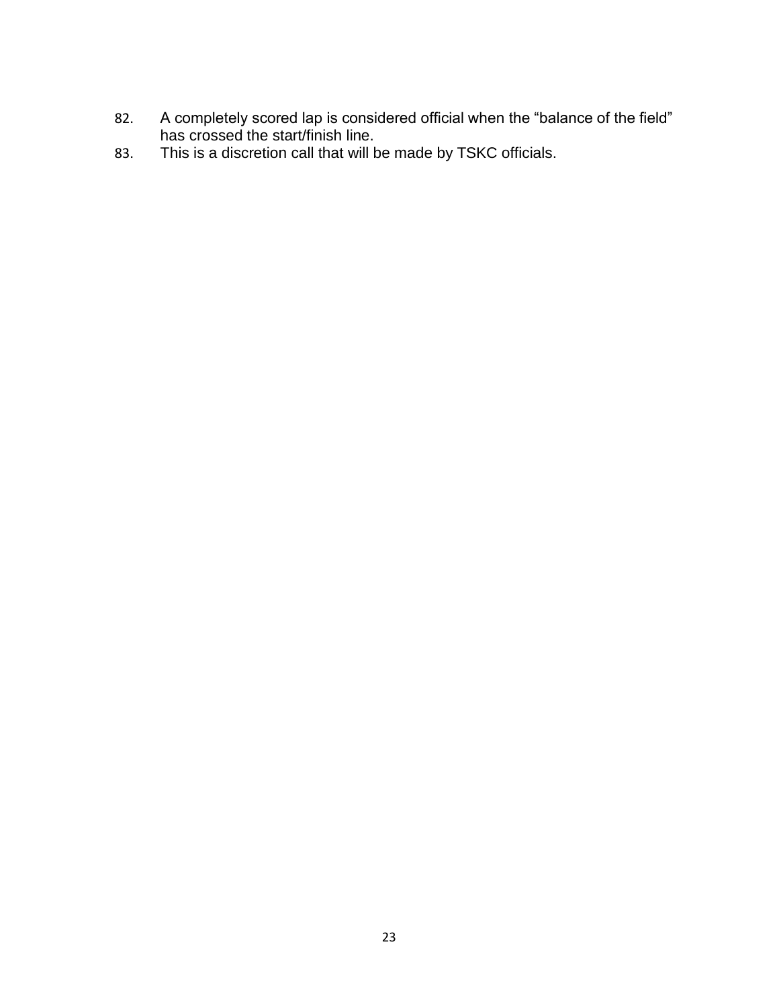- 82. A completely scored lap is considered official when the "balance of the field" has crossed the start/finish line.
- 83. This is a discretion call that will be made by TSKC officials.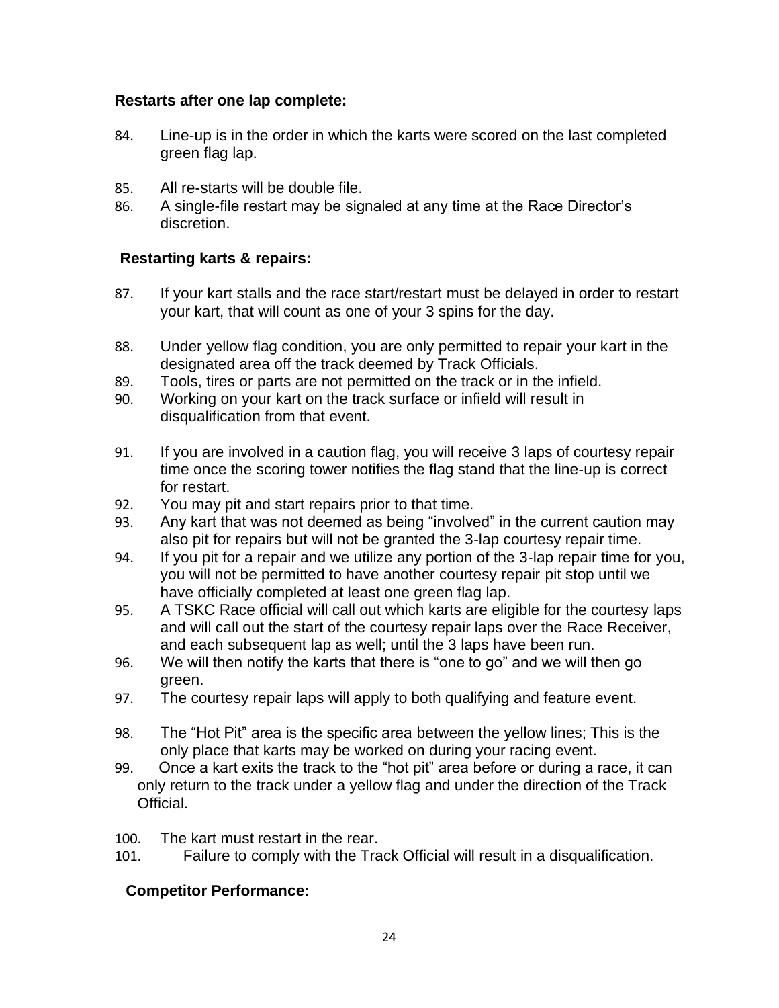## **Restarts after one lap complete:**

- 84. Line-up is in the order in which the karts were scored on the last completed green flag lap.
- 85. All re-starts will be double file.
- 86. A single-file restart may be signaled at any time at the Race Director's discretion.

## **Restarting karts & repairs:**

- 87. If your kart stalls and the race start/restart must be delayed in order to restart your kart, that will count as one of your 3 spins for the day.
- 88. Under yellow flag condition, you are only permitted to repair your kart in the designated area off the track deemed by Track Officials.
- 89. Tools, tires or parts are not permitted on the track or in the infield.
- 90. Working on your kart on the track surface or infield will result in disqualification from that event.
- 91. If you are involved in a caution flag, you will receive 3 laps of courtesy repair time once the scoring tower notifies the flag stand that the line-up is correct for restart.
- 92. You may pit and start repairs prior to that time.
- 93. Any kart that was not deemed as being "involved" in the current caution may also pit for repairs but will not be granted the 3-lap courtesy repair time.
- 94. If you pit for a repair and we utilize any portion of the 3-lap repair time for you, you will not be permitted to have another courtesy repair pit stop until we have officially completed at least one green flag lap.
- 95. A TSKC Race official will call out which karts are eligible for the courtesy laps and will call out the start of the courtesy repair laps over the Race Receiver, and each subsequent lap as well; until the 3 laps have been run.
- 96. We will then notify the karts that there is "one to go" and we will then go green.
- 97. The courtesy repair laps will apply to both qualifying and feature event.
- 98. The "Hot Pit" area is the specific area between the yellow lines; This is the only place that karts may be worked on during your racing event.
- 99. Once a kart exits the track to the "hot pit" area before or during a race, it can only return to the track under a yellow flag and under the direction of the Track Official.
- 100. The kart must restart in the rear.
- 101. Failure to comply with the Track Official will result in a disqualification.

## **Competitor Performance:**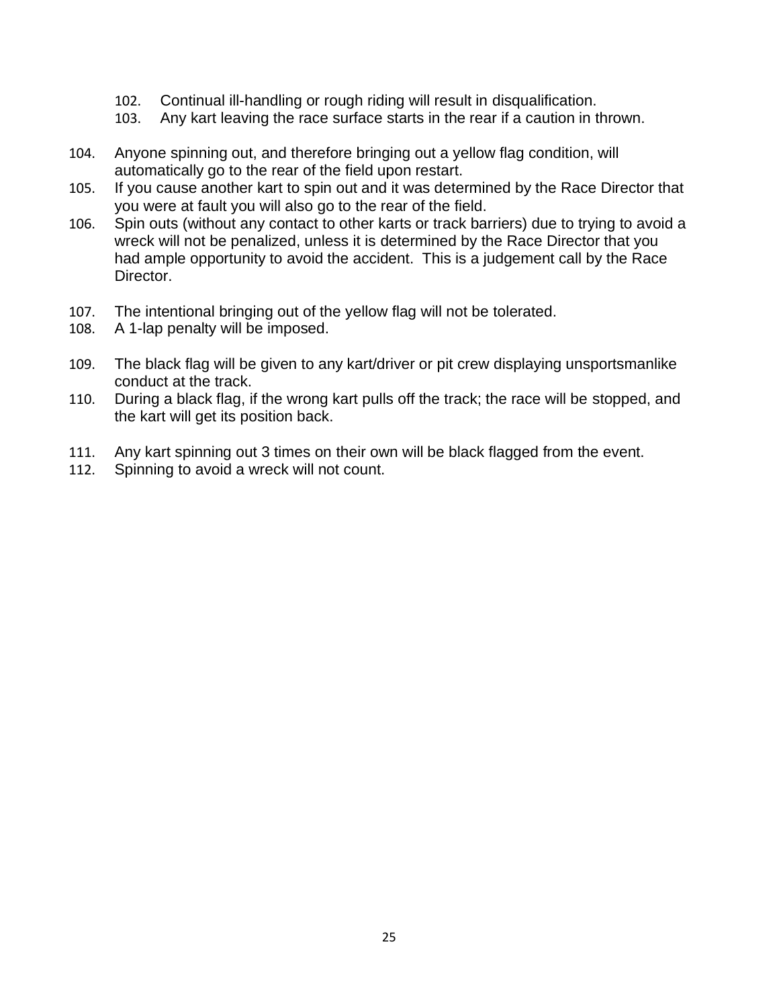- 102. Continual ill-handling or rough riding will result in disqualification.
- 103. Any kart leaving the race surface starts in the rear if a caution in thrown.
- 104. Anyone spinning out, and therefore bringing out a yellow flag condition, will automatically go to the rear of the field upon restart.
- 105. If you cause another kart to spin out and it was determined by the Race Director that you were at fault you will also go to the rear of the field.
- 106. Spin outs (without any contact to other karts or track barriers) due to trying to avoid a wreck will not be penalized, unless it is determined by the Race Director that you had ample opportunity to avoid the accident. This is a judgement call by the Race Director.
- 107. The intentional bringing out of the yellow flag will not be tolerated.
- 108. A 1-lap penalty will be imposed.
- 109. The black flag will be given to any kart/driver or pit crew displaying unsportsmanlike conduct at the track.
- 110. During a black flag, if the wrong kart pulls off the track; the race will be stopped, and the kart will get its position back.
- 111. Any kart spinning out 3 times on their own will be black flagged from the event.
- 112. Spinning to avoid a wreck will not count.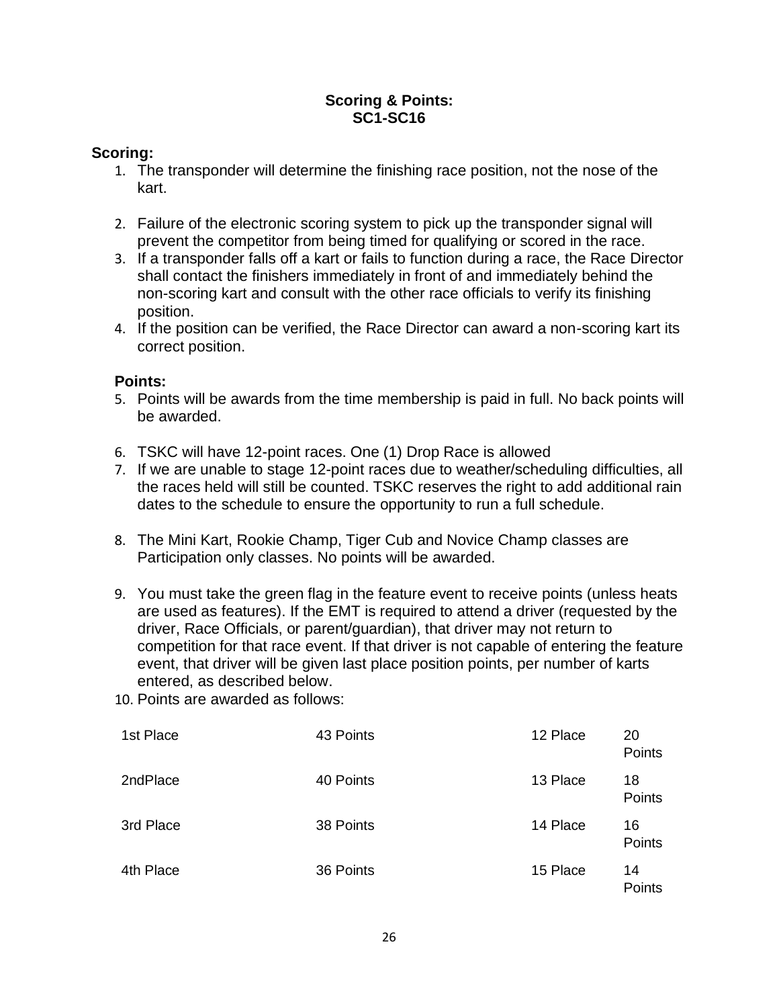#### **Scoring & Points: SC1-SC16**

#### **Scoring:**

- 1. The transponder will determine the finishing race position, not the nose of the kart.
- 2. Failure of the electronic scoring system to pick up the transponder signal will prevent the competitor from being timed for qualifying or scored in the race.
- 3. If a transponder falls off a kart or fails to function during a race, the Race Director shall contact the finishers immediately in front of and immediately behind the non-scoring kart and consult with the other race officials to verify its finishing position.
- 4. If the position can be verified, the Race Director can award a non-scoring kart its correct position.

#### **Points:**

- 5. Points will be awards from the time membership is paid in full. No back points will be awarded.
- 6. TSKC will have 12-point races. One (1) Drop Race is allowed
- 7. If we are unable to stage 12-point races due to weather/scheduling difficulties, all the races held will still be counted. TSKC reserves the right to add additional rain dates to the schedule to ensure the opportunity to run a full schedule.
- 8. The Mini Kart, Rookie Champ, Tiger Cub and Novice Champ classes are Participation only classes. No points will be awarded.
- 9. You must take the green flag in the feature event to receive points (unless heats are used as features). If the EMT is required to attend a driver (requested by the driver, Race Officials, or parent/guardian), that driver may not return to competition for that race event. If that driver is not capable of entering the feature event, that driver will be given last place position points, per number of karts entered, as described below.
- 10. Points are awarded as follows:

| 1st Place | 43 Points | 12 Place | 20<br>Points |
|-----------|-----------|----------|--------------|
| 2ndPlace  | 40 Points | 13 Place | 18<br>Points |
| 3rd Place | 38 Points | 14 Place | 16<br>Points |
| 4th Place | 36 Points | 15 Place | 14<br>Points |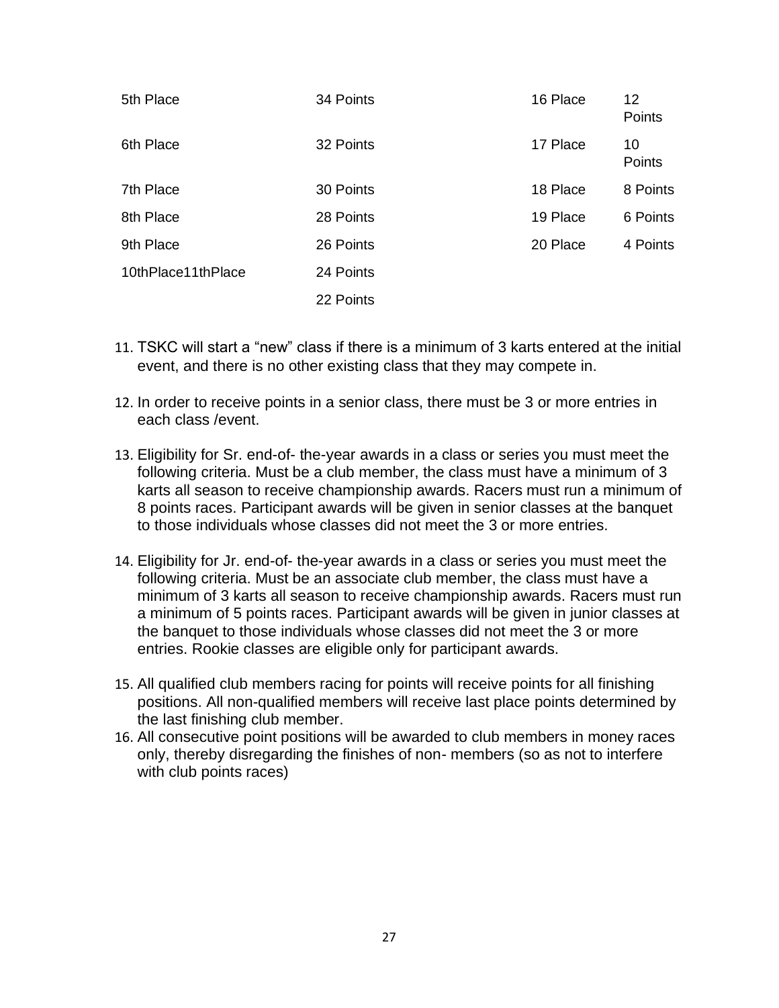| 5th Place          | 34 Points | 16 Place | 12<br>Points |
|--------------------|-----------|----------|--------------|
| 6th Place          | 32 Points | 17 Place | 10<br>Points |
| 7th Place          | 30 Points | 18 Place | 8 Points     |
| 8th Place          | 28 Points | 19 Place | 6 Points     |
| 9th Place          | 26 Points | 20 Place | 4 Points     |
| 10thPlace11thPlace | 24 Points |          |              |
|                    | 22 Points |          |              |

- 11. TSKC will start a "new" class if there is a minimum of 3 karts entered at the initial event, and there is no other existing class that they may compete in.
- 12. In order to receive points in a senior class, there must be 3 or more entries in each class /event.
- 13. Eligibility for Sr. end-of- the-year awards in a class or series you must meet the following criteria. Must be a club member, the class must have a minimum of 3 karts all season to receive championship awards. Racers must run a minimum of 8 points races. Participant awards will be given in senior classes at the banquet to those individuals whose classes did not meet the 3 or more entries.
- 14. Eligibility for Jr. end-of- the-year awards in a class or series you must meet the following criteria. Must be an associate club member, the class must have a minimum of 3 karts all season to receive championship awards. Racers must run a minimum of 5 points races. Participant awards will be given in junior classes at the banquet to those individuals whose classes did not meet the 3 or more entries. Rookie classes are eligible only for participant awards.
- 15. All qualified club members racing for points will receive points for all finishing positions. All non-qualified members will receive last place points determined by the last finishing club member.
- 16. All consecutive point positions will be awarded to club members in money races only, thereby disregarding the finishes of non- members (so as not to interfere with club points races)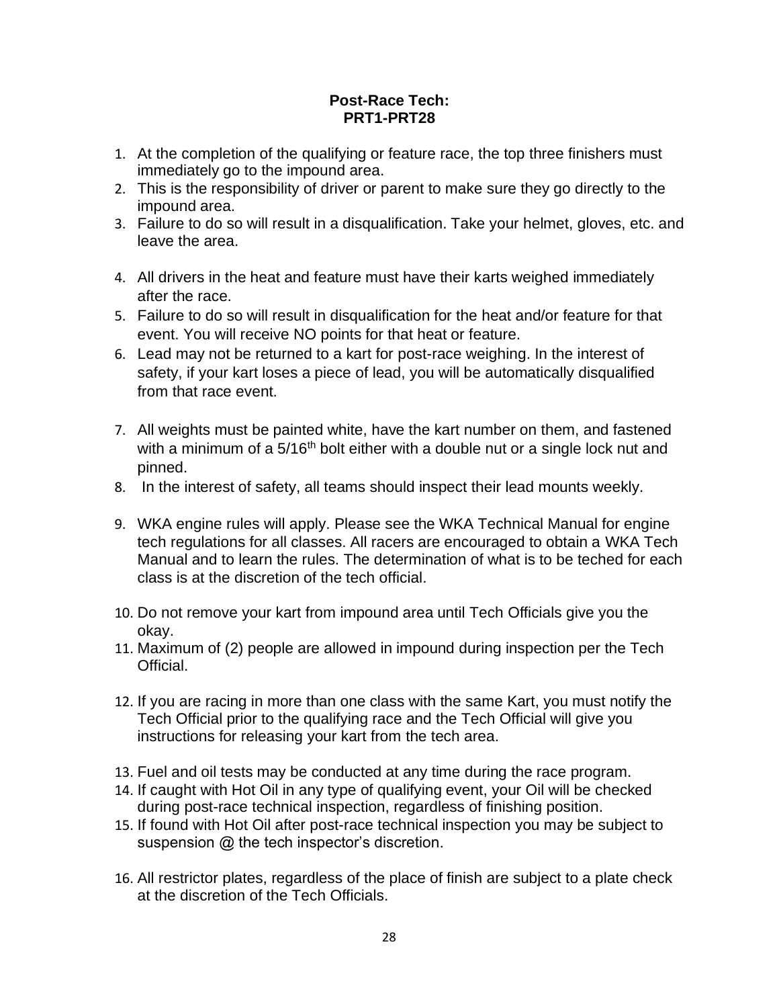#### **Post-Race Tech: PRT1-PRT28**

- 1. At the completion of the qualifying or feature race, the top three finishers must immediately go to the impound area.
- 2. This is the responsibility of driver or parent to make sure they go directly to the impound area.
- 3. Failure to do so will result in a disqualification. Take your helmet, gloves, etc. and leave the area.
- 4. All drivers in the heat and feature must have their karts weighed immediately after the race.
- 5. Failure to do so will result in disqualification for the heat and/or feature for that event. You will receive NO points for that heat or feature.
- 6. Lead may not be returned to a kart for post-race weighing. In the interest of safety, if your kart loses a piece of lead, you will be automatically disqualified from that race event.
- 7. All weights must be painted white, have the kart number on them, and fastened with a minimum of a  $5/16<sup>th</sup>$  bolt either with a double nut or a single lock nut and pinned.
- 8. In the interest of safety, all teams should inspect their lead mounts weekly.
- 9. WKA engine rules will apply. Please see the WKA Technical Manual for engine tech regulations for all classes. All racers are encouraged to obtain a WKA Tech Manual and to learn the rules. The determination of what is to be teched for each class is at the discretion of the tech official.
- 10. Do not remove your kart from impound area until Tech Officials give you the okay.
- 11. Maximum of (2) people are allowed in impound during inspection per the Tech Official.
- 12. If you are racing in more than one class with the same Kart, you must notify the Tech Official prior to the qualifying race and the Tech Official will give you instructions for releasing your kart from the tech area.
- 13. Fuel and oil tests may be conducted at any time during the race program.
- 14. If caught with Hot Oil in any type of qualifying event, your Oil will be checked during post-race technical inspection, regardless of finishing position.
- 15. If found with Hot Oil after post-race technical inspection you may be subject to suspension @ the tech inspector's discretion.
- 16. All restrictor plates, regardless of the place of finish are subject to a plate check at the discretion of the Tech Officials.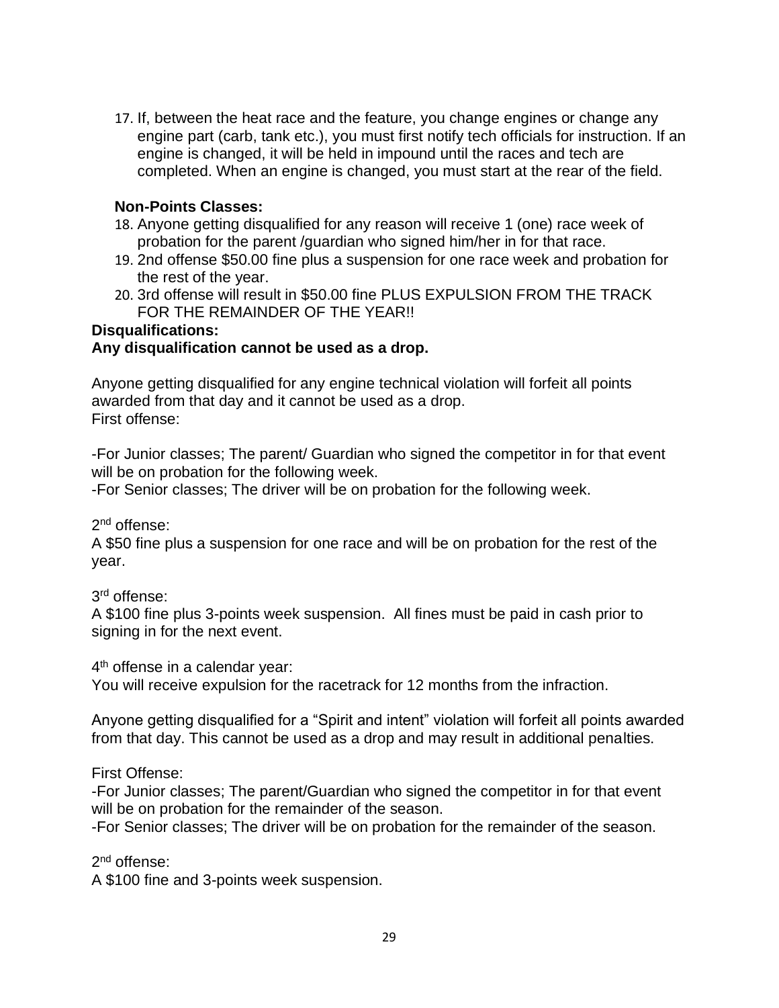17. If, between the heat race and the feature, you change engines or change any engine part (carb, tank etc.), you must first notify tech officials for instruction. If an engine is changed, it will be held in impound until the races and tech are completed. When an engine is changed, you must start at the rear of the field.

## **Non-Points Classes:**

- 18. Anyone getting disqualified for any reason will receive 1 (one) race week of probation for the parent /guardian who signed him/her in for that race.
- 19. 2nd offense \$50.00 fine plus a suspension for one race week and probation for the rest of the year.
- 20. 3rd offense will result in \$50.00 fine PLUS EXPULSION FROM THE TRACK FOR THE REMAINDER OF THE YEAR!!

#### **Disqualifications:**

#### **Any disqualification cannot be used as a drop.**

Anyone getting disqualified for any engine technical violation will forfeit all points awarded from that day and it cannot be used as a drop. First offense:

-For Junior classes; The parent/ Guardian who signed the competitor in for that event will be on probation for the following week.

-For Senior classes; The driver will be on probation for the following week.

2<sup>nd</sup> offense:

A \$50 fine plus a suspension for one race and will be on probation for the rest of the year.

3 rd offense:

A \$100 fine plus 3-points week suspension. All fines must be paid in cash prior to signing in for the next event.

4<sup>th</sup> offense in a calendar year:

You will receive expulsion for the racetrack for 12 months from the infraction.

Anyone getting disqualified for a "Spirit and intent" violation will forfeit all points awarded from that day. This cannot be used as a drop and may result in additional penalties.

First Offense:

-For Junior classes; The parent/Guardian who signed the competitor in for that event will be on probation for the remainder of the season.

-For Senior classes; The driver will be on probation for the remainder of the season.

2<sup>nd</sup> offense:

A \$100 fine and 3-points week suspension.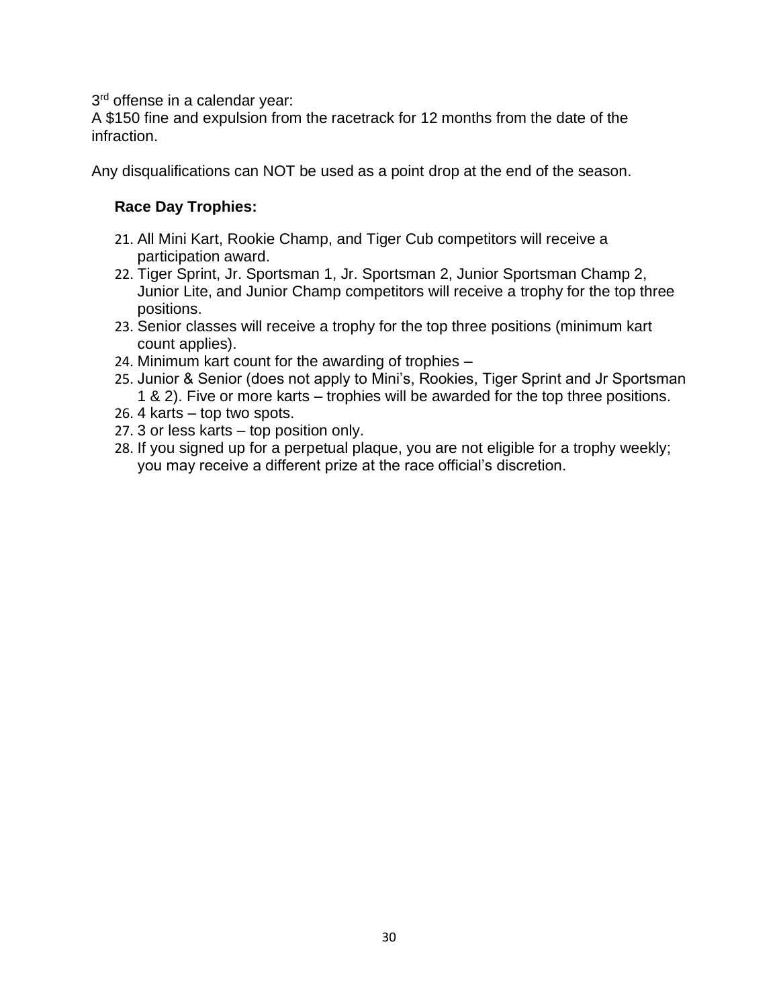3<sup>rd</sup> offense in a calendar year:

A \$150 fine and expulsion from the racetrack for 12 months from the date of the infraction.

Any disqualifications can NOT be used as a point drop at the end of the season.

## **Race Day Trophies:**

- 21. All Mini Kart, Rookie Champ, and Tiger Cub competitors will receive a participation award.
- 22. Tiger Sprint, Jr. Sportsman 1, Jr. Sportsman 2, Junior Sportsman Champ 2, Junior Lite, and Junior Champ competitors will receive a trophy for the top three positions.
- 23. Senior classes will receive a trophy for the top three positions (minimum kart count applies).
- 24. Minimum kart count for the awarding of trophies –
- 25. Junior & Senior (does not apply to Mini's, Rookies, Tiger Sprint and Jr Sportsman 1 & 2). Five or more karts – trophies will be awarded for the top three positions.
- 26. 4 karts top two spots.
- 27. 3 or less karts top position only.
- 28. If you signed up for a perpetual plaque, you are not eligible for a trophy weekly; you may receive a different prize at the race official's discretion.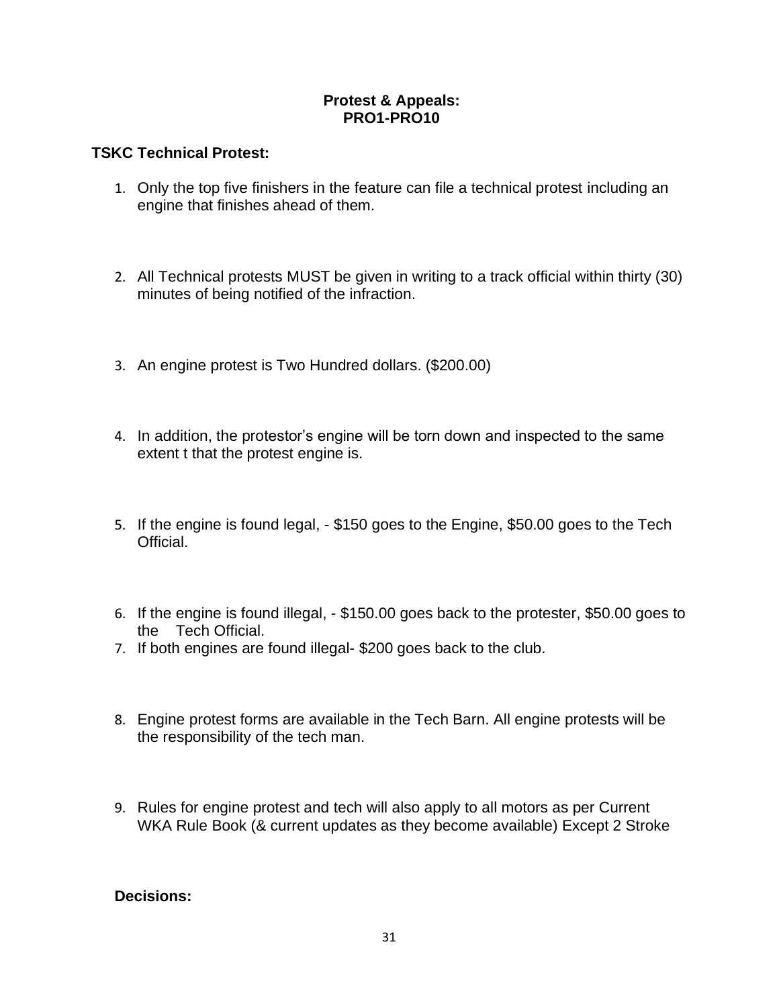#### **Protest & Appeals: PRO1-PRO10**

## **TSKC Technical Protest:**

- 1. Only the top five finishers in the feature can file a technical protest including an engine that finishes ahead of them.
- 2. All Technical protests MUST be given in writing to a track official within thirty (30) minutes of being notified of the infraction.
- 3. An engine protest is Two Hundred dollars. (\$200.00)
- 4. In addition, the protestor's engine will be torn down and inspected to the same extent t that the protest engine is.
- 5. If the engine is found legal, \$150 goes to the Engine, \$50.00 goes to the Tech Official.
- 6. If the engine is found illegal, \$150.00 goes back to the protester, \$50.00 goes to the Tech Official.
- 7. If both engines are found illegal- \$200 goes back to the club.
- 8. Engine protest forms are available in the Tech Barn. All engine protests will be the responsibility of the tech man.
- 9. Rules for engine protest and tech will also apply to all motors as per Current WKA Rule Book (& current updates as they become available) Except 2 Stroke

#### **Decisions:**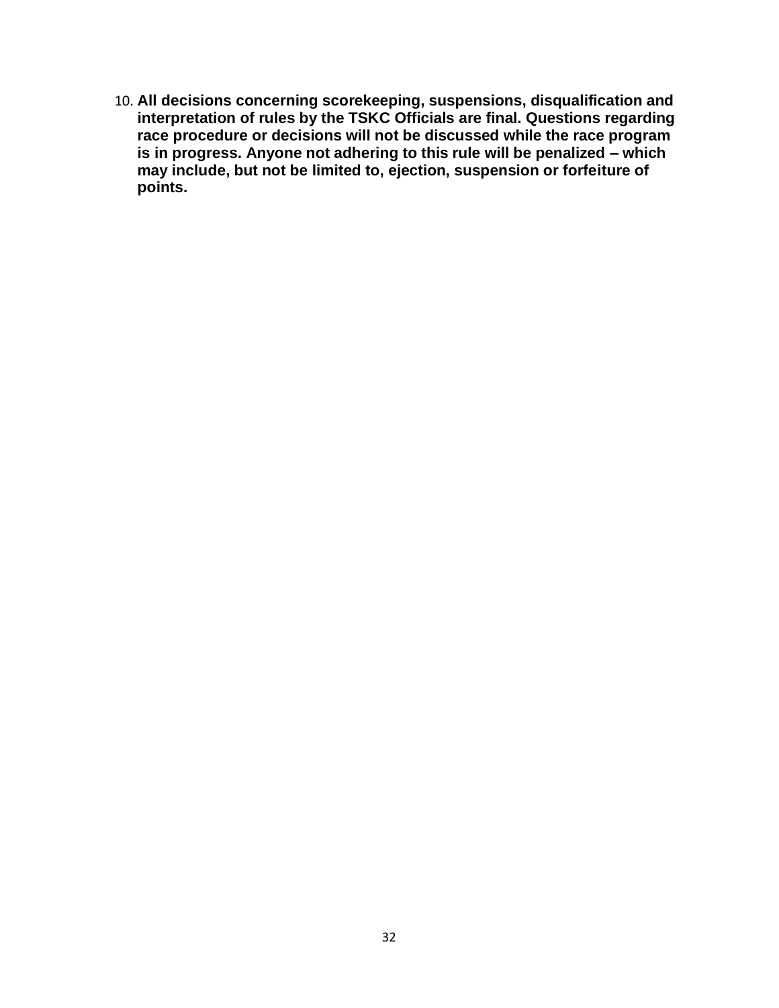10. **All decisions concerning scorekeeping, suspensions, disqualification and interpretation of rules by the TSKC Officials are final. Questions regarding race procedure or decisions will not be discussed while the race program is in progress. Anyone not adhering to this rule will be penalized – which may include, but not be limited to, ejection, suspension or forfeiture of points.**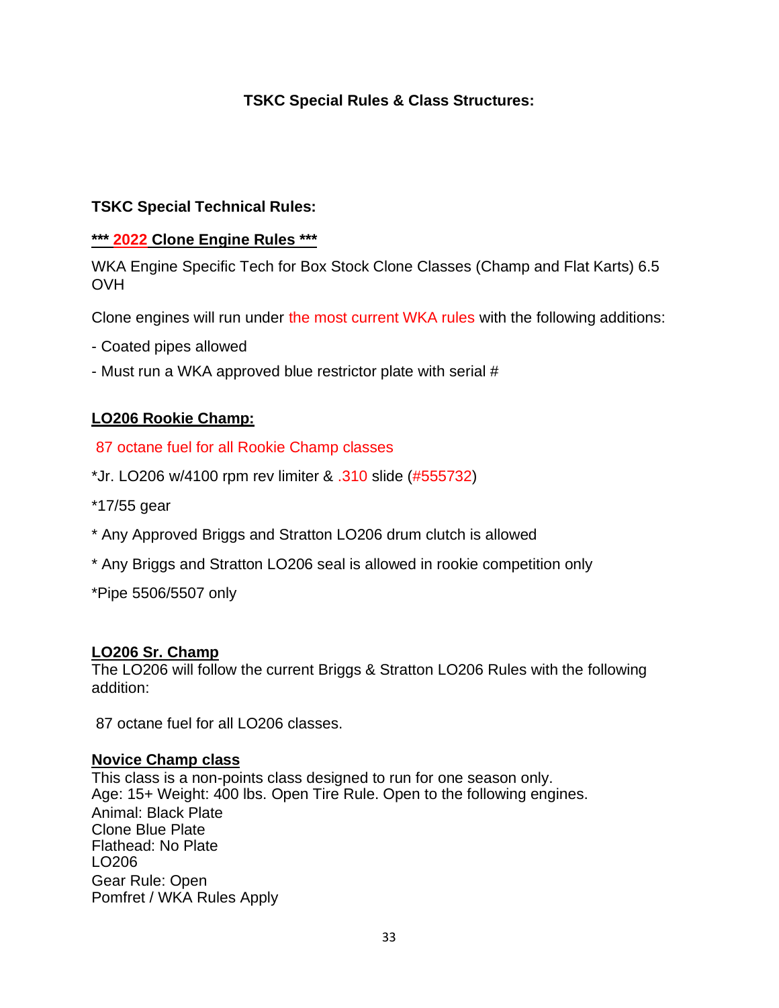## **TSKC Special Rules & Class Structures:**

## **TSKC Special Technical Rules:**

#### **\*\*\* 2022 Clone Engine Rules \*\*\***

WKA Engine Specific Tech for Box Stock Clone Classes (Champ and Flat Karts) 6.5 **OVH** 

Clone engines will run under the most current WKA rules with the following additions:

- Coated pipes allowed
- Must run a WKA approved blue restrictor plate with serial #

## **LO206 Rookie Champ:**

#### 87 octane fuel for all Rookie Champ classes

- \*Jr. LO206 w/4100 rpm rev limiter & .310 slide (#555732)
- \*17/55 gear
- \* Any Approved Briggs and Stratton LO206 drum clutch is allowed
- \* Any Briggs and Stratton LO206 seal is allowed in rookie competition only

\*Pipe 5506/5507 only

#### **LO206 Sr. Champ**

The LO206 will follow the current Briggs & Stratton LO206 Rules with the following addition:

87 octane fuel for all LO206 classes.

#### **Novice Champ class**

This class is a non-points class designed to run for one season only. Age: 15+ Weight: 400 lbs. Open Tire Rule. Open to the following engines. Animal: Black Plate Clone Blue Plate Flathead: No Plate LO206 Gear Rule: Open Pomfret / WKA Rules Apply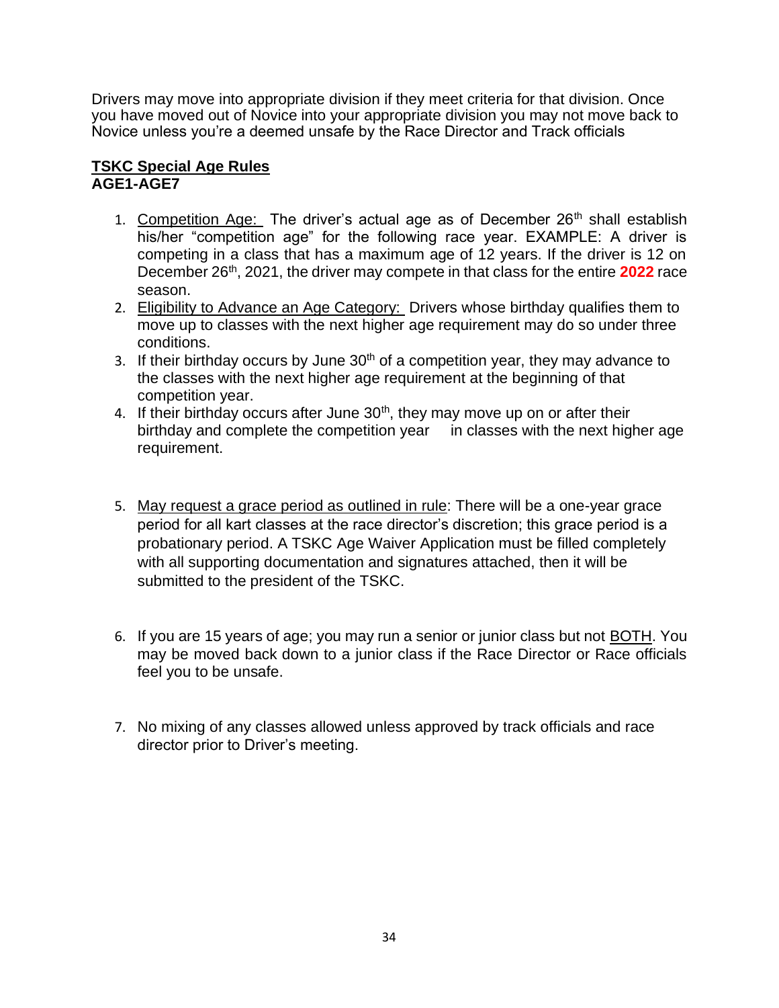Drivers may move into appropriate division if they meet criteria for that division. Once you have moved out of Novice into your appropriate division you may not move back to Novice unless you're a deemed unsafe by the Race Director and Track officials

#### **TSKC Special Age Rules AGE1-AGE7**

- 1. Competition Age: The driver's actual age as of December 26<sup>th</sup> shall establish his/her "competition age" for the following race year. EXAMPLE: A driver is competing in a class that has a maximum age of 12 years. If the driver is 12 on December 26<sup>th</sup>, 2021, the driver may compete in that class for the entire **2022** race season.
- 2. Eligibility to Advance an Age Category: Drivers whose birthday qualifies them to move up to classes with the next higher age requirement may do so under three conditions.
- 3. If their birthday occurs by June  $30<sup>th</sup>$  of a competition year, they may advance to the classes with the next higher age requirement at the beginning of that competition year.
- 4. If their birthday occurs after June  $30<sup>th</sup>$ , they may move up on or after their birthday and complete the competition year in classes with the next higher age requirement.
- 5. May request a grace period as outlined in rule: There will be a one-year grace period for all kart classes at the race director's discretion; this grace period is a probationary period. A TSKC Age Waiver Application must be filled completely with all supporting documentation and signatures attached, then it will be submitted to the president of the TSKC.
- 6. If you are 15 years of age; you may run a senior or junior class but not BOTH. You may be moved back down to a junior class if the Race Director or Race officials feel you to be unsafe.
- 7. No mixing of any classes allowed unless approved by track officials and race director prior to Driver's meeting.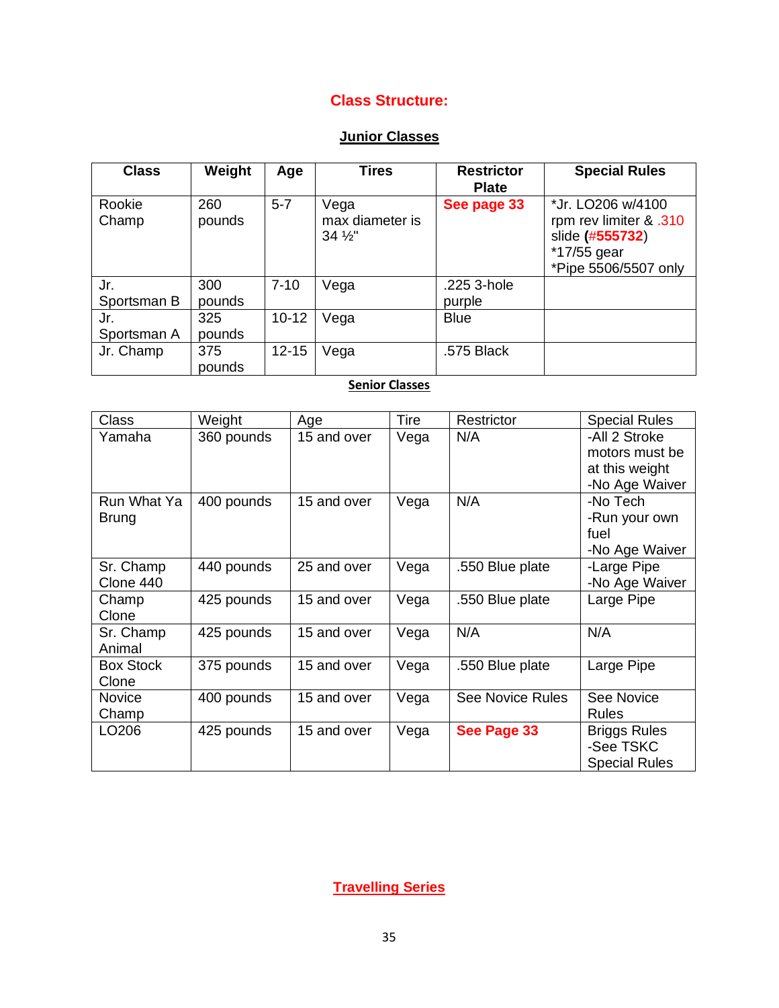## **Class Structure:**

## **Junior Classes**

| <b>Class</b>       | Weight        | Age       | <b>Tires</b>                               | <b>Restrictor</b><br><b>Plate</b> | <b>Special Rules</b>                                                                                  |
|--------------------|---------------|-----------|--------------------------------------------|-----------------------------------|-------------------------------------------------------------------------------------------------------|
| Rookie<br>Champ    | 260<br>pounds | $5 - 7$   | Vega<br>max diameter is<br>$34\frac{1}{2}$ | See page 33                       | *Jr. LO206 w/4100<br>rpm rev limiter & .310<br>slide (#555732)<br>*17/55 gear<br>*Pipe 5506/5507 only |
| Jr.<br>Sportsman B | 300<br>pounds | $7 - 10$  | Vega                                       | .225 3-hole<br>purple             |                                                                                                       |
|                    |               |           |                                            |                                   |                                                                                                       |
| Jr.                | 325           | $10 - 12$ | Vega                                       | <b>Blue</b>                       |                                                                                                       |
| Sportsman A        | pounds        |           |                                            |                                   |                                                                                                       |
| Jr. Champ          | 375           | $12 - 15$ | Vega                                       | .575 Black                        |                                                                                                       |
|                    | pounds        |           |                                            |                                   |                                                                                                       |

## **Senior Classes**

| <b>Class</b>                | Weight     | Age         | Tire | Restrictor              | <b>Special Rules</b>                                                |
|-----------------------------|------------|-------------|------|-------------------------|---------------------------------------------------------------------|
| Yamaha                      | 360 pounds | 15 and over | Vega | N/A                     | -All 2 Stroke<br>motors must be<br>at this weight<br>-No Age Waiver |
| Run What Ya<br><b>Brung</b> | 400 pounds | 15 and over | Vega | N/A                     | -No Tech<br>-Run your own<br>fuel<br>-No Age Waiver                 |
| Sr. Champ<br>Clone 440      | 440 pounds | 25 and over | Vega | .550 Blue plate         | -Large Pipe<br>-No Age Waiver                                       |
| Champ<br>Clone              | 425 pounds | 15 and over | Vega | .550 Blue plate         | Large Pipe                                                          |
| Sr. Champ<br>Animal         | 425 pounds | 15 and over | Vega | N/A                     | N/A                                                                 |
| <b>Box Stock</b><br>Clone   | 375 pounds | 15 and over | Vega | .550 Blue plate         | Large Pipe                                                          |
| <b>Novice</b><br>Champ      | 400 pounds | 15 and over | Vega | <b>See Novice Rules</b> | See Novice<br><b>Rules</b>                                          |
| LO <sub>206</sub>           | 425 pounds | 15 and over | Vega | See Page 33             | <b>Briggs Rules</b><br>-See TSKC<br><b>Special Rules</b>            |

## **Travelling Series**